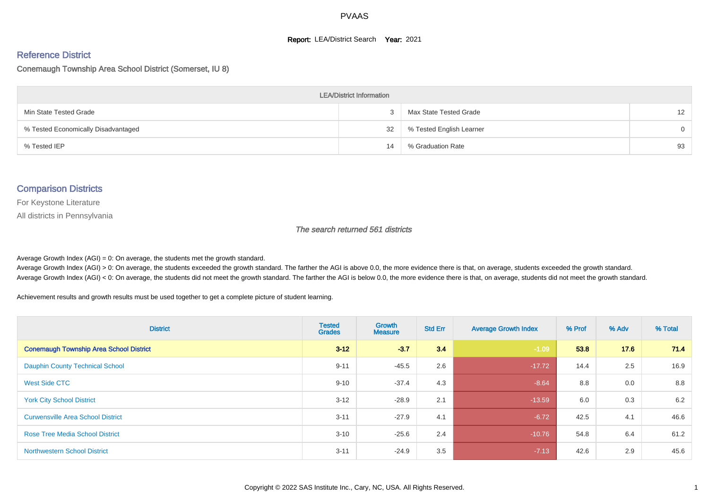#### **Report: LEA/District Search Year: 2021**

# Reference District

#### Conemaugh Township Area School District (Somerset, IU 8)

| <b>LEA/District Information</b>     |    |                          |                   |  |  |  |  |  |  |  |
|-------------------------------------|----|--------------------------|-------------------|--|--|--|--|--|--|--|
| Min State Tested Grade              |    | Max State Tested Grade   | $12 \overline{ }$ |  |  |  |  |  |  |  |
| % Tested Economically Disadvantaged | 32 | % Tested English Learner | $\Omega$          |  |  |  |  |  |  |  |
| % Tested IEP                        | 14 | % Graduation Rate        | 93                |  |  |  |  |  |  |  |

#### Comparison Districts

For Keystone Literature

All districts in Pennsylvania

The search returned 561 districts

Average Growth Index  $(AGI) = 0$ : On average, the students met the growth standard.

Average Growth Index (AGI) > 0: On average, the students exceeded the growth standard. The farther the AGI is above 0.0, the more evidence there is that, on average, students exceeded the growth standard. Average Growth Index (AGI) < 0: On average, the students did not meet the growth standard. The farther the AGI is below 0.0, the more evidence there is that, on average, students did not meet the growth standard.

Achievement results and growth results must be used together to get a complete picture of student learning.

| <b>District</b>                                | <b>Tested</b><br><b>Grades</b> | <b>Growth</b><br><b>Measure</b> | <b>Std Err</b> | <b>Average Growth Index</b> | % Prof | % Adv | % Total |
|------------------------------------------------|--------------------------------|---------------------------------|----------------|-----------------------------|--------|-------|---------|
| <b>Conemaugh Township Area School District</b> | $3 - 12$                       | $-3.7$                          | 3.4            | $-1.09$                     | 53.8   | 17.6  | 71.4    |
| <b>Dauphin County Technical School</b>         | $9 - 11$                       | $-45.5$                         | 2.6            | $-17.72$                    | 14.4   | 2.5   | 16.9    |
| West Side CTC                                  | $9 - 10$                       | $-37.4$                         | 4.3            | $-8.64$                     | 8.8    | 0.0   | 8.8     |
| <b>York City School District</b>               | $3 - 12$                       | $-28.9$                         | 2.1            | $-13.59$                    | 6.0    | 0.3   | 6.2     |
| <b>Curwensville Area School District</b>       | $3 - 11$                       | $-27.9$                         | 4.1            | $-6.72$                     | 42.5   | 4.1   | 46.6    |
| <b>Rose Tree Media School District</b>         | $3 - 10$                       | $-25.6$                         | 2.4            | $-10.76$                    | 54.8   | 6.4   | 61.2    |
| <b>Northwestern School District</b>            | $3 - 11$                       | $-24.9$                         | 3.5            | $-7.13$                     | 42.6   | 2.9   | 45.6    |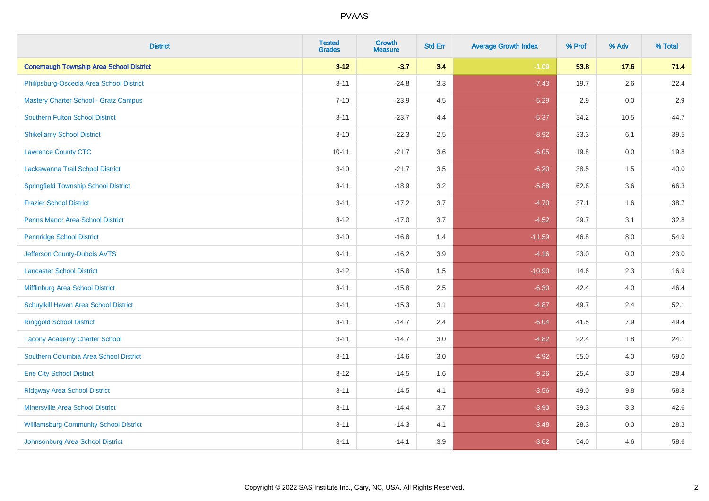| <b>District</b>                                | <b>Tested</b><br><b>Grades</b> | <b>Growth</b><br><b>Measure</b> | <b>Std Err</b> | <b>Average Growth Index</b> | % Prof | % Adv   | % Total |
|------------------------------------------------|--------------------------------|---------------------------------|----------------|-----------------------------|--------|---------|---------|
| <b>Conemaugh Township Area School District</b> | $3 - 12$                       | $-3.7$                          | 3.4            | $-1.09$                     | 53.8   | 17.6    | 71.4    |
| Philipsburg-Osceola Area School District       | $3 - 11$                       | $-24.8$                         | 3.3            | $-7.43$                     | 19.7   | 2.6     | 22.4    |
| <b>Mastery Charter School - Gratz Campus</b>   | $7 - 10$                       | $-23.9$                         | 4.5            | $-5.29$                     | 2.9    | 0.0     | 2.9     |
| Southern Fulton School District                | $3 - 11$                       | $-23.7$                         | 4.4            | $-5.37$                     | 34.2   | 10.5    | 44.7    |
| <b>Shikellamy School District</b>              | $3 - 10$                       | $-22.3$                         | 2.5            | $-8.92$                     | 33.3   | 6.1     | 39.5    |
| <b>Lawrence County CTC</b>                     | $10 - 11$                      | $-21.7$                         | 3.6            | $-6.05$                     | 19.8   | 0.0     | 19.8    |
| Lackawanna Trail School District               | $3 - 10$                       | $-21.7$                         | 3.5            | $-6.20$                     | 38.5   | 1.5     | 40.0    |
| <b>Springfield Township School District</b>    | $3 - 11$                       | $-18.9$                         | 3.2            | $-5.88$                     | 62.6   | 3.6     | 66.3    |
| <b>Frazier School District</b>                 | $3 - 11$                       | $-17.2$                         | 3.7            | $-4.70$                     | 37.1   | 1.6     | 38.7    |
| <b>Penns Manor Area School District</b>        | $3 - 12$                       | $-17.0$                         | 3.7            | $-4.52$                     | 29.7   | 3.1     | 32.8    |
| <b>Pennridge School District</b>               | $3 - 10$                       | $-16.8$                         | 1.4            | $-11.59$                    | 46.8   | 8.0     | 54.9    |
| Jefferson County-Dubois AVTS                   | $9 - 11$                       | $-16.2$                         | 3.9            | $-4.16$                     | 23.0   | 0.0     | 23.0    |
| <b>Lancaster School District</b>               | $3 - 12$                       | $-15.8$                         | $1.5\,$        | $-10.90$                    | 14.6   | 2.3     | 16.9    |
| Mifflinburg Area School District               | $3 - 11$                       | $-15.8$                         | 2.5            | $-6.30$                     | 42.4   | 4.0     | 46.4    |
| Schuylkill Haven Area School District          | $3 - 11$                       | $-15.3$                         | 3.1            | $-4.87$                     | 49.7   | 2.4     | 52.1    |
| <b>Ringgold School District</b>                | $3 - 11$                       | $-14.7$                         | 2.4            | $-6.04$                     | 41.5   | 7.9     | 49.4    |
| <b>Tacony Academy Charter School</b>           | $3 - 11$                       | $-14.7$                         | 3.0            | $-4.82$                     | 22.4   | 1.8     | 24.1    |
| Southern Columbia Area School District         | $3 - 11$                       | $-14.6$                         | 3.0            | $-4.92$                     | 55.0   | 4.0     | 59.0    |
| <b>Erie City School District</b>               | $3 - 12$                       | $-14.5$                         | 1.6            | $-9.26$                     | 25.4   | 3.0     | 28.4    |
| <b>Ridgway Area School District</b>            | $3 - 11$                       | $-14.5$                         | 4.1            | $-3.56$                     | 49.0   | 9.8     | 58.8    |
| <b>Minersville Area School District</b>        | $3 - 11$                       | $-14.4$                         | 3.7            | $-3.90$                     | 39.3   | 3.3     | 42.6    |
| <b>Williamsburg Community School District</b>  | $3 - 11$                       | $-14.3$                         | 4.1            | $-3.48$                     | 28.3   | $0.0\,$ | 28.3    |
| Johnsonburg Area School District               | $3 - 11$                       | $-14.1$                         | 3.9            | $-3.62$                     | 54.0   | 4.6     | 58.6    |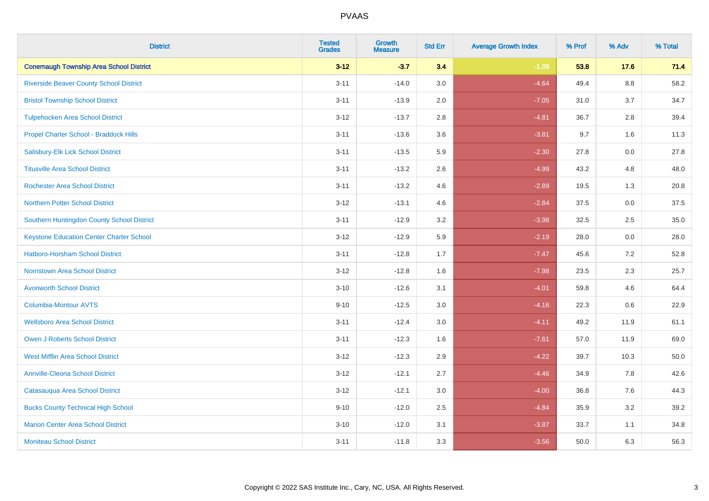| <b>District</b>                                 | <b>Tested</b><br><b>Grades</b> | <b>Growth</b><br><b>Measure</b> | <b>Std Err</b> | <b>Average Growth Index</b> | % Prof | % Adv   | % Total |
|-------------------------------------------------|--------------------------------|---------------------------------|----------------|-----------------------------|--------|---------|---------|
| <b>Conemaugh Township Area School District</b>  | $3 - 12$                       | $-3.7$                          | 3.4            | $-1.09$                     | 53.8   | 17.6    | 71.4    |
| <b>Riverside Beaver County School District</b>  | $3 - 11$                       | $-14.0$                         | 3.0            | $-4.64$                     | 49.4   | $8.8\,$ | 58.2    |
| <b>Bristol Township School District</b>         | $3 - 11$                       | $-13.9$                         | 2.0            | $-7.05$                     | 31.0   | 3.7     | 34.7    |
| <b>Tulpehocken Area School District</b>         | $3 - 12$                       | $-13.7$                         | 2.8            | $-4.81$                     | 36.7   | 2.8     | 39.4    |
| Propel Charter School - Braddock Hills          | $3 - 11$                       | $-13.6$                         | 3.6            | $-3.81$                     | 9.7    | 1.6     | 11.3    |
| Salisbury-Elk Lick School District              | $3 - 11$                       | $-13.5$                         | 5.9            | $-2.30$                     | 27.8   | 0.0     | 27.8    |
| <b>Titusville Area School District</b>          | $3 - 11$                       | $-13.2$                         | 2.6            | $-4.99$                     | 43.2   | 4.8     | 48.0    |
| <b>Rochester Area School District</b>           | $3 - 11$                       | $-13.2$                         | 4.6            | $-2.89$                     | 19.5   | 1.3     | 20.8    |
| <b>Northern Potter School District</b>          | $3 - 12$                       | $-13.1$                         | 4.6            | $-2.84$                     | 37.5   | 0.0     | 37.5    |
| Southern Huntingdon County School District      | $3 - 11$                       | $-12.9$                         | 3.2            | $-3.98$                     | 32.5   | $2.5\,$ | 35.0    |
| <b>Keystone Education Center Charter School</b> | $3 - 12$                       | $-12.9$                         | 5.9            | $-2.19$                     | 28.0   | 0.0     | 28.0    |
| <b>Hatboro-Horsham School District</b>          | $3 - 11$                       | $-12.8$                         | 1.7            | $-7.47$                     | 45.6   | 7.2     | 52.8    |
| <b>Norristown Area School District</b>          | $3 - 12$                       | $-12.8$                         | 1.6            | $-7.98$                     | 23.5   | 2.3     | 25.7    |
| <b>Avonworth School District</b>                | $3 - 10$                       | $-12.6$                         | 3.1            | $-4.01$                     | 59.8   | 4.6     | 64.4    |
| Columbia-Montour AVTS                           | $9 - 10$                       | $-12.5$                         | 3.0            | $-4.16$                     | 22.3   | 0.6     | 22.9    |
| <b>Wellsboro Area School District</b>           | $3 - 11$                       | $-12.4$                         | 3.0            | $-4.11$                     | 49.2   | 11.9    | 61.1    |
| <b>Owen J Roberts School District</b>           | $3 - 11$                       | $-12.3$                         | 1.6            | $-7.61$                     | 57.0   | 11.9    | 69.0    |
| <b>West Mifflin Area School District</b>        | $3 - 12$                       | $-12.3$                         | 2.9            | $-4.22$                     | 39.7   | 10.3    | 50.0    |
| <b>Annville-Cleona School District</b>          | $3 - 12$                       | $-12.1$                         | 2.7            | $-4.46$                     | 34.9   | 7.8     | 42.6    |
| Catasauqua Area School District                 | $3 - 12$                       | $-12.1$                         | 3.0            | $-4.00$                     | 36.8   | 7.6     | 44.3    |
| <b>Bucks County Technical High School</b>       | $9 - 10$                       | $-12.0$                         | 2.5            | $-4.84$                     | 35.9   | 3.2     | 39.2    |
| <b>Marion Center Area School District</b>       | $3 - 10$                       | $-12.0$                         | 3.1            | $-3.87$                     | 33.7   | 1.1     | 34.8    |
| <b>Moniteau School District</b>                 | $3 - 11$                       | $-11.8$                         | 3.3            | $-3.56$                     | 50.0   | 6.3     | 56.3    |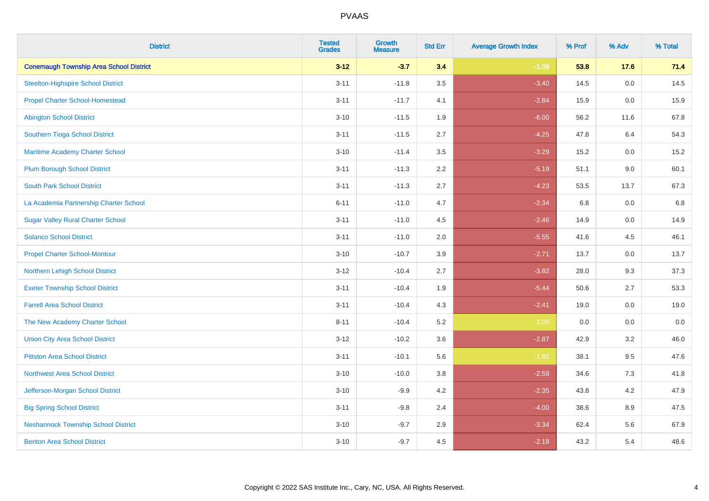| <b>District</b>                                | <b>Tested</b><br><b>Grades</b> | <b>Growth</b><br><b>Measure</b> | <b>Std Err</b> | <b>Average Growth Index</b> | % Prof | % Adv   | % Total |
|------------------------------------------------|--------------------------------|---------------------------------|----------------|-----------------------------|--------|---------|---------|
| <b>Conemaugh Township Area School District</b> | $3 - 12$                       | $-3.7$                          | 3.4            | $-1.09$                     | 53.8   | 17.6    | 71.4    |
| <b>Steelton-Highspire School District</b>      | $3 - 11$                       | $-11.8$                         | 3.5            | $-3.40$                     | 14.5   | $0.0\,$ | 14.5    |
| <b>Propel Charter School-Homestead</b>         | $3 - 11$                       | $-11.7$                         | 4.1            | $-2.84$                     | 15.9   | 0.0     | 15.9    |
| <b>Abington School District</b>                | $3 - 10$                       | $-11.5$                         | 1.9            | $-6.00$                     | 56.2   | 11.6    | 67.8    |
| Southern Tioga School District                 | $3 - 11$                       | $-11.5$                         | 2.7            | $-4.25$                     | 47.8   | 6.4     | 54.3    |
| Maritime Academy Charter School                | $3 - 10$                       | $-11.4$                         | 3.5            | $-3.29$                     | 15.2   | 0.0     | 15.2    |
| <b>Plum Borough School District</b>            | $3 - 11$                       | $-11.3$                         | 2.2            | $-5.19$                     | 51.1   | 9.0     | 60.1    |
| <b>South Park School District</b>              | $3 - 11$                       | $-11.3$                         | 2.7            | $-4.23$                     | 53.5   | 13.7    | 67.3    |
| La Academia Partnership Charter School         | $6 - 11$                       | $-11.0$                         | 4.7            | $-2.34$                     | 6.8    | 0.0     | 6.8     |
| <b>Sugar Valley Rural Charter School</b>       | $3 - 11$                       | $-11.0$                         | 4.5            | $-2.46$                     | 14.9   | 0.0     | 14.9    |
| <b>Solanco School District</b>                 | $3 - 11$                       | $-11.0$                         | 2.0            | $-5.55$                     | 41.6   | 4.5     | 46.1    |
| <b>Propel Charter School-Montour</b>           | $3 - 10$                       | $-10.7$                         | 3.9            | $-2.71$                     | 13.7   | 0.0     | 13.7    |
| Northern Lehigh School District                | $3 - 12$                       | $-10.4$                         | 2.7            | $-3.82$                     | 28.0   | 9.3     | 37.3    |
| <b>Exeter Township School District</b>         | $3 - 11$                       | $-10.4$                         | 1.9            | $-5.44$                     | 50.6   | 2.7     | 53.3    |
| <b>Farrell Area School District</b>            | $3 - 11$                       | $-10.4$                         | 4.3            | $-2.41$                     | 19.0   | 0.0     | 19.0    |
| The New Academy Charter School                 | $8 - 11$                       | $-10.4$                         | 5.2            | $-2.00$                     | 0.0    | $0.0\,$ | $0.0\,$ |
| <b>Union City Area School District</b>         | $3 - 12$                       | $-10.2$                         | 3.6            | $-2.87$                     | 42.9   | 3.2     | 46.0    |
| <b>Pittston Area School District</b>           | $3 - 11$                       | $-10.1$                         | 5.6            | $-1.80$                     | 38.1   | 9.5     | 47.6    |
| <b>Northwest Area School District</b>          | $3 - 10$                       | $-10.0$                         | 3.8            | $-2.59$                     | 34.6   | $7.3$   | 41.8    |
| Jefferson-Morgan School District               | $3 - 10$                       | $-9.9$                          | 4.2            | $-2.35$                     | 43.8   | 4.2     | 47.9    |
| <b>Big Spring School District</b>              | $3 - 11$                       | $-9.8$                          | 2.4            | $-4.00$                     | 38.6   | 8.9     | 47.5    |
| <b>Neshannock Township School District</b>     | $3 - 10$                       | $-9.7$                          | 2.9            | $-3.34$                     | 62.4   | 5.6     | 67.9    |
| <b>Benton Area School District</b>             | $3 - 10$                       | $-9.7$                          | 4.5            | $-2.18$                     | 43.2   | 5.4     | 48.6    |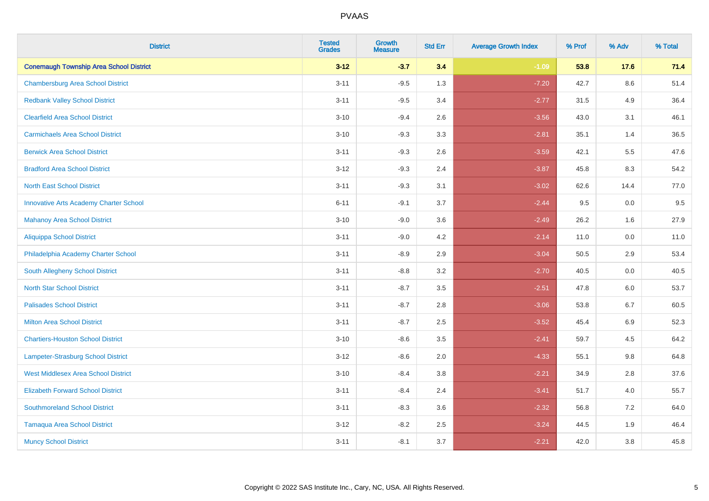| <b>District</b>                                | <b>Tested</b><br><b>Grades</b> | <b>Growth</b><br><b>Measure</b> | <b>Std Err</b> | <b>Average Growth Index</b> | % Prof | % Adv   | % Total |
|------------------------------------------------|--------------------------------|---------------------------------|----------------|-----------------------------|--------|---------|---------|
| <b>Conemaugh Township Area School District</b> | $3 - 12$                       | $-3.7$                          | 3.4            | $-1.09$                     | 53.8   | 17.6    | 71.4    |
| <b>Chambersburg Area School District</b>       | $3 - 11$                       | $-9.5$                          | 1.3            | $-7.20$                     | 42.7   | $8.6\,$ | 51.4    |
| <b>Redbank Valley School District</b>          | $3 - 11$                       | $-9.5$                          | 3.4            | $-2.77$                     | 31.5   | 4.9     | 36.4    |
| <b>Clearfield Area School District</b>         | $3 - 10$                       | $-9.4$                          | 2.6            | $-3.56$                     | 43.0   | 3.1     | 46.1    |
| <b>Carmichaels Area School District</b>        | $3 - 10$                       | $-9.3$                          | 3.3            | $-2.81$                     | 35.1   | 1.4     | 36.5    |
| <b>Berwick Area School District</b>            | $3 - 11$                       | $-9.3$                          | 2.6            | $-3.59$                     | 42.1   | 5.5     | 47.6    |
| <b>Bradford Area School District</b>           | $3 - 12$                       | $-9.3$                          | 2.4            | $-3.87$                     | 45.8   | 8.3     | 54.2    |
| <b>North East School District</b>              | $3 - 11$                       | $-9.3$                          | 3.1            | $-3.02$                     | 62.6   | 14.4    | 77.0    |
| <b>Innovative Arts Academy Charter School</b>  | $6 - 11$                       | $-9.1$                          | 3.7            | $-2.44$                     | 9.5    | 0.0     | 9.5     |
| <b>Mahanoy Area School District</b>            | $3 - 10$                       | $-9.0$                          | 3.6            | $-2.49$                     | 26.2   | 1.6     | 27.9    |
| <b>Aliquippa School District</b>               | $3 - 11$                       | $-9.0$                          | 4.2            | $-2.14$                     | 11.0   | 0.0     | 11.0    |
| Philadelphia Academy Charter School            | $3 - 11$                       | $-8.9$                          | 2.9            | $-3.04$                     | 50.5   | 2.9     | 53.4    |
| South Allegheny School District                | $3 - 11$                       | $-8.8$                          | 3.2            | $-2.70$                     | 40.5   | $0.0\,$ | 40.5    |
| <b>North Star School District</b>              | $3 - 11$                       | $-8.7$                          | 3.5            | $-2.51$                     | 47.8   | 6.0     | 53.7    |
| <b>Palisades School District</b>               | $3 - 11$                       | $-8.7$                          | 2.8            | $-3.06$                     | 53.8   | 6.7     | 60.5    |
| <b>Milton Area School District</b>             | $3 - 11$                       | $-8.7$                          | 2.5            | $-3.52$                     | 45.4   | 6.9     | 52.3    |
| <b>Chartiers-Houston School District</b>       | $3 - 10$                       | $-8.6$                          | 3.5            | $-2.41$                     | 59.7   | 4.5     | 64.2    |
| <b>Lampeter-Strasburg School District</b>      | $3 - 12$                       | $-8.6$                          | 2.0            | $-4.33$                     | 55.1   | 9.8     | 64.8    |
| <b>West Middlesex Area School District</b>     | $3 - 10$                       | $-8.4$                          | $3.8\,$        | $-2.21$                     | 34.9   | 2.8     | 37.6    |
| <b>Elizabeth Forward School District</b>       | $3 - 11$                       | $-8.4$                          | 2.4            | $-3.41$                     | 51.7   | 4.0     | 55.7    |
| <b>Southmoreland School District</b>           | $3 - 11$                       | $-8.3$                          | 3.6            | $-2.32$                     | 56.8   | 7.2     | 64.0    |
| <b>Tamaqua Area School District</b>            | $3 - 12$                       | $-8.2$                          | 2.5            | $-3.24$                     | 44.5   | 1.9     | 46.4    |
| <b>Muncy School District</b>                   | $3 - 11$                       | $-8.1$                          | 3.7            | $-2.21$                     | 42.0   | 3.8     | 45.8    |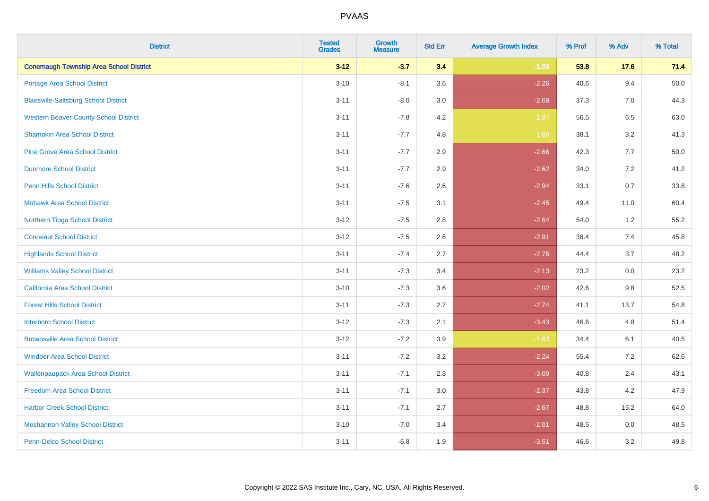| <b>District</b>                                | <b>Tested</b><br><b>Grades</b> | <b>Growth</b><br><b>Measure</b> | <b>Std Err</b> | <b>Average Growth Index</b> | % Prof | % Adv   | % Total |
|------------------------------------------------|--------------------------------|---------------------------------|----------------|-----------------------------|--------|---------|---------|
| <b>Conemaugh Township Area School District</b> | $3 - 12$                       | $-3.7$                          | 3.4            | $-1.09$                     | 53.8   | 17.6    | 71.4    |
| Portage Area School District                   | $3 - 10$                       | $-8.1$                          | 3.6            | $-2.26$                     | 40.6   | 9.4     | 50.0    |
| <b>Blairsville-Saltsburg School District</b>   | $3 - 11$                       | $-8.0$                          | 3.0            | $-2.68$                     | 37.3   | 7.0     | 44.3    |
| <b>Western Beaver County School District</b>   | $3 - 11$                       | $-7.8$                          | 4.2            | $-1.87$                     | 56.5   | 6.5     | 63.0    |
| <b>Shamokin Area School District</b>           | $3 - 11$                       | $-7.7$                          | 4.8            | $-1.60$                     | 38.1   | 3.2     | 41.3    |
| <b>Pine Grove Area School District</b>         | $3 - 11$                       | $-7.7$                          | 2.9            | $-2.66$                     | 42.3   | 7.7     | 50.0    |
| <b>Dunmore School District</b>                 | $3 - 11$                       | $-7.7$                          | 2.9            | $-2.62$                     | 34.0   | 7.2     | 41.2    |
| <b>Penn Hills School District</b>              | $3 - 11$                       | $-7.6$                          | 2.6            | $-2.94$                     | 33.1   | 0.7     | 33.8    |
| <b>Mohawk Area School District</b>             | $3 - 11$                       | $-7.5$                          | 3.1            | $-2.45$                     | 49.4   | 11.0    | 60.4    |
| Northern Tioga School District                 | $3 - 12$                       | $-7.5$                          | 2.8            | $-2.64$                     | 54.0   | 1.2     | 55.2    |
| <b>Conneaut School District</b>                | $3 - 12$                       | $-7.5$                          | 2.6            | $-2.91$                     | 38.4   | 7.4     | 45.8    |
| <b>Highlands School District</b>               | $3 - 11$                       | $-7.4$                          | 2.7            | $-2.76$                     | 44.4   | 3.7     | 48.2    |
| <b>Williams Valley School District</b>         | $3 - 11$                       | $-7.3$                          | 3.4            | $-2.13$                     | 23.2   | 0.0     | 23.2    |
| California Area School District                | $3 - 10$                       | $-7.3$                          | 3.6            | $-2.02$                     | 42.6   | 9.8     | 52.5    |
| <b>Forest Hills School District</b>            | $3 - 11$                       | $-7.3$                          | 2.7            | $-2.74$                     | 41.1   | 13.7    | 54.8    |
| <b>Interboro School District</b>               | $3 - 12$                       | $-7.3$                          | 2.1            | $-3.43$                     | 46.6   | 4.8     | 51.4    |
| <b>Brownsville Area School District</b>        | $3 - 12$                       | $-7.2$                          | 3.9            | $-1.83$                     | 34.4   | 6.1     | 40.5    |
| <b>Windber Area School District</b>            | $3 - 11$                       | $-7.2$                          | 3.2            | $-2.24$                     | 55.4   | 7.2     | 62.6    |
| <b>Wallenpaupack Area School District</b>      | $3 - 11$                       | $-7.1$                          | 2.3            | $-3.09$                     | 40.8   | 2.4     | 43.1    |
| <b>Freedom Area School District</b>            | $3 - 11$                       | $-7.1$                          | 3.0            | $-2.37$                     | 43.8   | 4.2     | 47.9    |
| <b>Harbor Creek School District</b>            | $3 - 11$                       | $-7.1$                          | 2.7            | $-2.67$                     | 48.8   | 15.2    | 64.0    |
| <b>Moshannon Valley School District</b>        | $3 - 10$                       | $-7.0$                          | 3.4            | $-2.01$                     | 48.5   | $0.0\,$ | 48.5    |
| <b>Penn-Delco School District</b>              | $3 - 11$                       | $-6.8$                          | 1.9            | $-3.51$                     | 46.6   | 3.2     | 49.8    |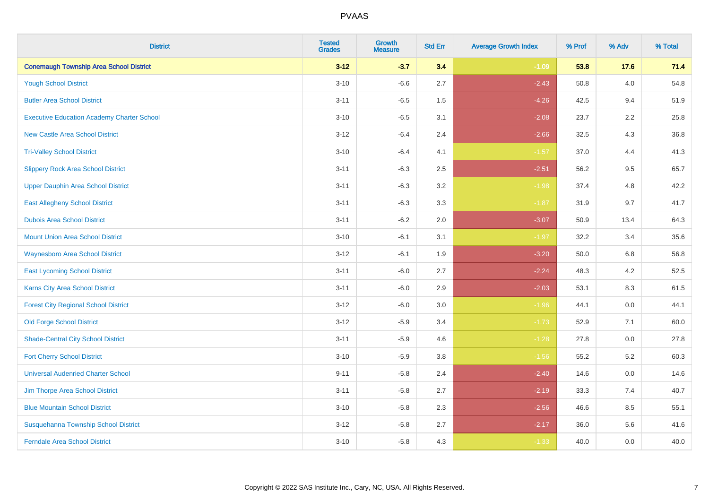| <b>District</b>                                   | <b>Tested</b><br><b>Grades</b> | <b>Growth</b><br><b>Measure</b> | <b>Std Err</b> | <b>Average Growth Index</b> | % Prof | % Adv | % Total |
|---------------------------------------------------|--------------------------------|---------------------------------|----------------|-----------------------------|--------|-------|---------|
| <b>Conemaugh Township Area School District</b>    | $3 - 12$                       | $-3.7$                          | 3.4            | $-1.09$                     | 53.8   | 17.6  | 71.4    |
| <b>Yough School District</b>                      | $3 - 10$                       | $-6.6$                          | 2.7            | $-2.43$                     | 50.8   | 4.0   | 54.8    |
| <b>Butler Area School District</b>                | $3 - 11$                       | $-6.5$                          | 1.5            | $-4.26$                     | 42.5   | 9.4   | 51.9    |
| <b>Executive Education Academy Charter School</b> | $3 - 10$                       | $-6.5$                          | 3.1            | $-2.08$                     | 23.7   | 2.2   | 25.8    |
| <b>New Castle Area School District</b>            | $3 - 12$                       | $-6.4$                          | 2.4            | $-2.66$                     | 32.5   | 4.3   | 36.8    |
| <b>Tri-Valley School District</b>                 | $3 - 10$                       | $-6.4$                          | 4.1            | $-1.57$                     | 37.0   | 4.4   | 41.3    |
| <b>Slippery Rock Area School District</b>         | $3 - 11$                       | $-6.3$                          | 2.5            | $-2.51$                     | 56.2   | 9.5   | 65.7    |
| <b>Upper Dauphin Area School District</b>         | $3 - 11$                       | $-6.3$                          | 3.2            | $-1.98$                     | 37.4   | 4.8   | 42.2    |
| <b>East Allegheny School District</b>             | $3 - 11$                       | $-6.3$                          | 3.3            | $-1.87$                     | 31.9   | 9.7   | 41.7    |
| <b>Dubois Area School District</b>                | $3 - 11$                       | $-6.2$                          | 2.0            | $-3.07$                     | 50.9   | 13.4  | 64.3    |
| <b>Mount Union Area School District</b>           | $3 - 10$                       | $-6.1$                          | 3.1            | $-1.97$                     | 32.2   | 3.4   | 35.6    |
| <b>Waynesboro Area School District</b>            | $3 - 12$                       | $-6.1$                          | 1.9            | $-3.20$                     | 50.0   | 6.8   | 56.8    |
| <b>East Lycoming School District</b>              | $3 - 11$                       | $-6.0$                          | 2.7            | $-2.24$                     | 48.3   | 4.2   | 52.5    |
| <b>Karns City Area School District</b>            | $3 - 11$                       | $-6.0$                          | 2.9            | $-2.03$                     | 53.1   | 8.3   | 61.5    |
| <b>Forest City Regional School District</b>       | $3 - 12$                       | $-6.0$                          | 3.0            | $-1.96$                     | 44.1   | 0.0   | 44.1    |
| <b>Old Forge School District</b>                  | $3 - 12$                       | $-5.9$                          | 3.4            | $-1.73$                     | 52.9   | 7.1   | 60.0    |
| <b>Shade-Central City School District</b>         | $3 - 11$                       | $-5.9$                          | 4.6            | $-1.28$                     | 27.8   | 0.0   | 27.8    |
| <b>Fort Cherry School District</b>                | $3 - 10$                       | $-5.9$                          | 3.8            | $-1.56$                     | 55.2   | 5.2   | 60.3    |
| <b>Universal Audenried Charter School</b>         | $9 - 11$                       | $-5.8$                          | 2.4            | $-2.40$                     | 14.6   | 0.0   | 14.6    |
| Jim Thorpe Area School District                   | $3 - 11$                       | $-5.8$                          | 2.7            | $-2.19$                     | 33.3   | 7.4   | 40.7    |
| <b>Blue Mountain School District</b>              | $3 - 10$                       | $-5.8$                          | 2.3            | $-2.56$                     | 46.6   | 8.5   | 55.1    |
| Susquehanna Township School District              | $3 - 12$                       | $-5.8$                          | 2.7            | $-2.17$                     | 36.0   | 5.6   | 41.6    |
| <b>Ferndale Area School District</b>              | $3 - 10$                       | $-5.8$                          | 4.3            | $-1.33$                     | 40.0   | 0.0   | 40.0    |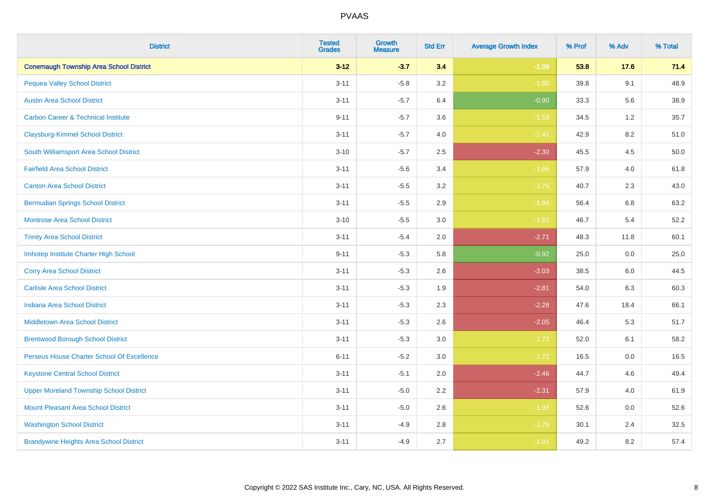| <b>District</b>                                | <b>Tested</b><br><b>Grades</b> | <b>Growth</b><br><b>Measure</b> | <b>Std Err</b> | <b>Average Growth Index</b> | % Prof | % Adv | % Total |
|------------------------------------------------|--------------------------------|---------------------------------|----------------|-----------------------------|--------|-------|---------|
| <b>Conemaugh Township Area School District</b> | $3 - 12$                       | $-3.7$                          | 3.4            | $-1.09$                     | 53.8   | 17.6  | 71.4    |
| <b>Pequea Valley School District</b>           | $3 - 11$                       | $-5.8$                          | 3.2            | $-1.80$                     | 39.8   | 9.1   | 48.9    |
| <b>Austin Area School District</b>             | $3 - 11$                       | $-5.7$                          | 6.4            | $-0.90$                     | 33.3   | 5.6   | 38.9    |
| <b>Carbon Career &amp; Technical Institute</b> | $9 - 11$                       | $-5.7$                          | 3.6            | $-1.59$                     | 34.5   | 1.2   | 35.7    |
| <b>Claysburg-Kimmel School District</b>        | $3 - 11$                       | $-5.7$                          | 4.0            | $-1.42$                     | 42.9   | 8.2   | 51.0    |
| South Williamsport Area School District        | $3 - 10$                       | $-5.7$                          | 2.5            | $-2.30$                     | 45.5   | 4.5   | 50.0    |
| <b>Fairfield Area School District</b>          | $3 - 11$                       | $-5.6$                          | 3.4            | $-1.66$                     | 57.9   | 4.0   | 61.8    |
| <b>Canton Area School District</b>             | $3 - 11$                       | $-5.5$                          | 3.2            | $-1.75$                     | 40.7   | 2.3   | 43.0    |
| <b>Bermudian Springs School District</b>       | $3 - 11$                       | $-5.5$                          | 2.9            | $-1.94$                     | 56.4   | 6.8   | 63.2    |
| <b>Montrose Area School District</b>           | $3 - 10$                       | $-5.5$                          | 3.0            | $-1.82$                     | 46.7   | 5.4   | 52.2    |
| <b>Trinity Area School District</b>            | $3 - 11$                       | $-5.4$                          | 2.0            | $-2.71$                     | 48.3   | 11.8  | 60.1    |
| Imhotep Institute Charter High School          | $9 - 11$                       | $-5.3$                          | 5.8            | $-0.92$                     | 25.0   | 0.0   | 25.0    |
| <b>Corry Area School District</b>              | $3 - 11$                       | $-5.3$                          | 2.6            | $-2.03$                     | 38.5   | 6.0   | 44.5    |
| <b>Carlisle Area School District</b>           | $3 - 11$                       | $-5.3$                          | 1.9            | $-2.81$                     | 54.0   | 6.3   | 60.3    |
| <b>Indiana Area School District</b>            | $3 - 11$                       | $-5.3$                          | 2.3            | $-2.28$                     | 47.6   | 18.4  | 66.1    |
| <b>Middletown Area School District</b>         | $3 - 11$                       | $-5.3$                          | 2.6            | $-2.05$                     | 46.4   | 5.3   | 51.7    |
| <b>Brentwood Borough School District</b>       | $3 - 11$                       | $-5.3$                          | 3.0            | $-1.72$                     | 52.0   | 6.1   | 58.2    |
| Perseus House Charter School Of Excellence     | $6 - 11$                       | $-5.2$                          | 3.0            | $-1.72$                     | 16.5   | 0.0   | 16.5    |
| <b>Keystone Central School District</b>        | $3 - 11$                       | $-5.1$                          | 2.0            | $-2.46$                     | 44.7   | 4.6   | 49.4    |
| <b>Upper Moreland Township School District</b> | $3 - 11$                       | $-5.0$                          | 2.2            | $-2.31$                     | 57.9   | 4.0   | 61.9    |
| <b>Mount Pleasant Area School District</b>     | $3 - 11$                       | $-5.0$                          | 2.6            | $-1.93$                     | 52.6   | 0.0   | 52.6    |
| <b>Washington School District</b>              | $3 - 11$                       | $-4.9$                          | 2.8            | $-1.76$                     | 30.1   | 2.4   | 32.5    |
| <b>Brandywine Heights Area School District</b> | $3 - 11$                       | $-4.9$                          | 2.7            | $-1.81$                     | 49.2   | 8.2   | 57.4    |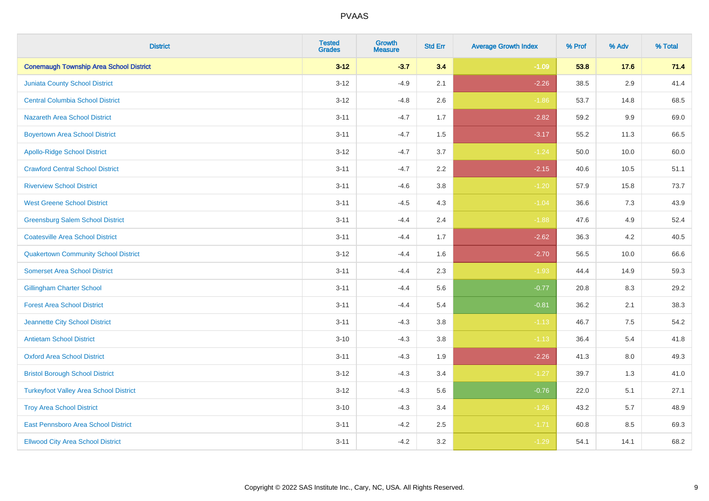| <b>District</b>                                | <b>Tested</b><br><b>Grades</b> | <b>Growth</b><br><b>Measure</b> | <b>Std Err</b> | <b>Average Growth Index</b> | % Prof | % Adv   | % Total |
|------------------------------------------------|--------------------------------|---------------------------------|----------------|-----------------------------|--------|---------|---------|
| <b>Conemaugh Township Area School District</b> | $3 - 12$                       | $-3.7$                          | 3.4            | $-1.09$                     | 53.8   | 17.6    | 71.4    |
| <b>Juniata County School District</b>          | $3 - 12$                       | $-4.9$                          | 2.1            | $-2.26$                     | 38.5   | 2.9     | 41.4    |
| <b>Central Columbia School District</b>        | $3 - 12$                       | $-4.8$                          | 2.6            | $-1.86$                     | 53.7   | 14.8    | 68.5    |
| <b>Nazareth Area School District</b>           | $3 - 11$                       | $-4.7$                          | 1.7            | $-2.82$                     | 59.2   | 9.9     | 69.0    |
| <b>Boyertown Area School District</b>          | $3 - 11$                       | $-4.7$                          | 1.5            | $-3.17$                     | 55.2   | 11.3    | 66.5    |
| <b>Apollo-Ridge School District</b>            | $3 - 12$                       | $-4.7$                          | 3.7            | $-1.24$                     | 50.0   | 10.0    | 60.0    |
| <b>Crawford Central School District</b>        | $3 - 11$                       | $-4.7$                          | 2.2            | $-2.15$                     | 40.6   | 10.5    | 51.1    |
| <b>Riverview School District</b>               | $3 - 11$                       | $-4.6$                          | 3.8            | $-1.20$                     | 57.9   | 15.8    | 73.7    |
| <b>West Greene School District</b>             | $3 - 11$                       | $-4.5$                          | 4.3            | $-1.04$                     | 36.6   | 7.3     | 43.9    |
| <b>Greensburg Salem School District</b>        | $3 - 11$                       | $-4.4$                          | 2.4            | $-1.88$                     | 47.6   | 4.9     | 52.4    |
| <b>Coatesville Area School District</b>        | $3 - 11$                       | $-4.4$                          | 1.7            | $-2.62$                     | 36.3   | 4.2     | 40.5    |
| <b>Quakertown Community School District</b>    | $3 - 12$                       | $-4.4$                          | 1.6            | $-2.70$                     | 56.5   | 10.0    | 66.6    |
| <b>Somerset Area School District</b>           | $3 - 11$                       | $-4.4$                          | 2.3            | $-1.93$                     | 44.4   | 14.9    | 59.3    |
| <b>Gillingham Charter School</b>               | $3 - 11$                       | $-4.4$                          | 5.6            | $-0.77$                     | 20.8   | 8.3     | 29.2    |
| <b>Forest Area School District</b>             | $3 - 11$                       | $-4.4$                          | 5.4            | $-0.81$                     | 36.2   | 2.1     | 38.3    |
| Jeannette City School District                 | $3 - 11$                       | $-4.3$                          | 3.8            | $-1.13$                     | 46.7   | $7.5\,$ | 54.2    |
| <b>Antietam School District</b>                | $3 - 10$                       | $-4.3$                          | 3.8            | $-1.13$                     | 36.4   | 5.4     | 41.8    |
| <b>Oxford Area School District</b>             | $3 - 11$                       | $-4.3$                          | 1.9            | $-2.26$                     | 41.3   | 8.0     | 49.3    |
| <b>Bristol Borough School District</b>         | $3 - 12$                       | $-4.3$                          | 3.4            | $-1.27$                     | 39.7   | 1.3     | 41.0    |
| <b>Turkeyfoot Valley Area School District</b>  | $3 - 12$                       | $-4.3$                          | 5.6            | $-0.76$                     | 22.0   | 5.1     | 27.1    |
| <b>Troy Area School District</b>               | $3 - 10$                       | $-4.3$                          | 3.4            | $-1.26$                     | 43.2   | 5.7     | 48.9    |
| East Pennsboro Area School District            | $3 - 11$                       | $-4.2$                          | 2.5            | $-1.71$                     | 60.8   | 8.5     | 69.3    |
| <b>Ellwood City Area School District</b>       | $3 - 11$                       | $-4.2$                          | 3.2            | $-1.29$                     | 54.1   | 14.1    | 68.2    |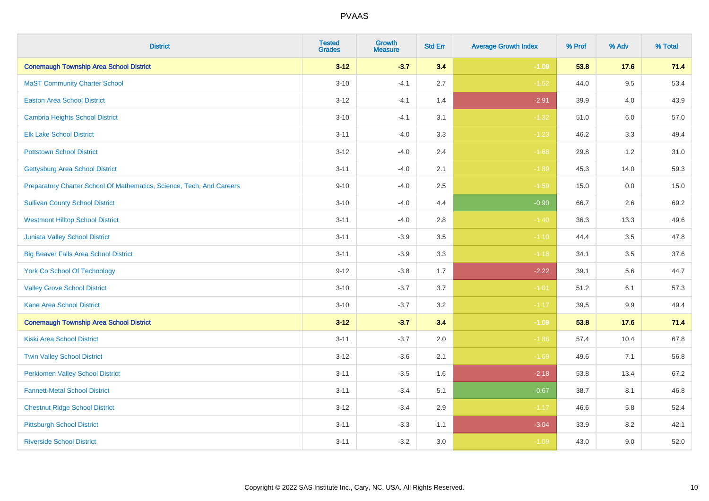| <b>District</b>                                                       | <b>Tested</b><br><b>Grades</b> | <b>Growth</b><br><b>Measure</b> | <b>Std Err</b> | <b>Average Growth Index</b> | % Prof | % Adv   | % Total |
|-----------------------------------------------------------------------|--------------------------------|---------------------------------|----------------|-----------------------------|--------|---------|---------|
| <b>Conemaugh Township Area School District</b>                        | $3 - 12$                       | $-3.7$                          | 3.4            | $-1.09$                     | 53.8   | 17.6    | 71.4    |
| <b>MaST Community Charter School</b>                                  | $3 - 10$                       | $-4.1$                          | 2.7            | $-1.52$                     | 44.0   | 9.5     | 53.4    |
| <b>Easton Area School District</b>                                    | $3 - 12$                       | $-4.1$                          | 1.4            | $-2.91$                     | 39.9   | 4.0     | 43.9    |
| Cambria Heights School District                                       | $3 - 10$                       | $-4.1$                          | 3.1            | $-1.32$                     | 51.0   | $6.0\,$ | 57.0    |
| <b>Elk Lake School District</b>                                       | $3 - 11$                       | $-4.0$                          | 3.3            | $-1.23$                     | 46.2   | 3.3     | 49.4    |
| <b>Pottstown School District</b>                                      | $3 - 12$                       | $-4.0$                          | 2.4            | $-1.68$                     | 29.8   | 1.2     | 31.0    |
| <b>Gettysburg Area School District</b>                                | $3 - 11$                       | $-4.0$                          | 2.1            | $-1.89$                     | 45.3   | 14.0    | 59.3    |
| Preparatory Charter School Of Mathematics, Science, Tech, And Careers | $9 - 10$                       | $-4.0$                          | 2.5            | $-1.59$                     | 15.0   | 0.0     | 15.0    |
| <b>Sullivan County School District</b>                                | $3 - 10$                       | $-4.0$                          | 4.4            | $-0.90$                     | 66.7   | 2.6     | 69.2    |
| <b>Westmont Hilltop School District</b>                               | $3 - 11$                       | $-4.0$                          | 2.8            | $-1.40$                     | 36.3   | 13.3    | 49.6    |
| <b>Juniata Valley School District</b>                                 | $3 - 11$                       | $-3.9$                          | 3.5            | $-1.10$                     | 44.4   | 3.5     | 47.8    |
| <b>Big Beaver Falls Area School District</b>                          | $3 - 11$                       | $-3.9$                          | 3.3            | $-1.18$                     | 34.1   | 3.5     | 37.6    |
| <b>York Co School Of Technology</b>                                   | $9 - 12$                       | $-3.8$                          | 1.7            | $-2.22$                     | 39.1   | 5.6     | 44.7    |
| <b>Valley Grove School District</b>                                   | $3 - 10$                       | $-3.7$                          | 3.7            | $-1.01$                     | 51.2   | 6.1     | 57.3    |
| <b>Kane Area School District</b>                                      | $3 - 10$                       | $-3.7$                          | 3.2            | $-1.17$                     | 39.5   | 9.9     | 49.4    |
| <b>Conemaugh Township Area School District</b>                        | $3-12$                         | $-3.7$                          | 3.4            | $-1.09$                     | 53.8   | 17.6    | 71.4    |
| <b>Kiski Area School District</b>                                     | $3 - 11$                       | $-3.7$                          | 2.0            | $-1.86$                     | 57.4   | 10.4    | 67.8    |
| <b>Twin Valley School District</b>                                    | $3 - 12$                       | $-3.6$                          | 2.1            | $-1.69$                     | 49.6   | 7.1     | 56.8    |
| <b>Perkiomen Valley School District</b>                               | $3 - 11$                       | $-3.5$                          | 1.6            | $-2.18$                     | 53.8   | 13.4    | 67.2    |
| <b>Fannett-Metal School District</b>                                  | $3 - 11$                       | $-3.4$                          | 5.1            | $-0.67$                     | 38.7   | 8.1     | 46.8    |
| <b>Chestnut Ridge School District</b>                                 | $3 - 12$                       | $-3.4$                          | 2.9            | $-1.17$                     | 46.6   | 5.8     | 52.4    |
| <b>Pittsburgh School District</b>                                     | $3 - 11$                       | $-3.3$                          | 1.1            | $-3.04$                     | 33.9   | 8.2     | 42.1    |
| <b>Riverside School District</b>                                      | $3 - 11$                       | $-3.2$                          | 3.0            | $-1.09$                     | 43.0   | 9.0     | 52.0    |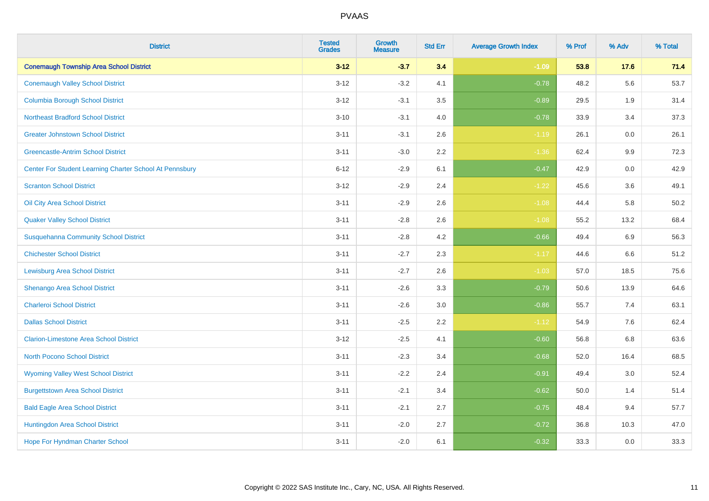| <b>District</b>                                         | <b>Tested</b><br><b>Grades</b> | <b>Growth</b><br><b>Measure</b> | <b>Std Err</b> | <b>Average Growth Index</b> | % Prof | % Adv   | % Total |
|---------------------------------------------------------|--------------------------------|---------------------------------|----------------|-----------------------------|--------|---------|---------|
| <b>Conemaugh Township Area School District</b>          | $3 - 12$                       | $-3.7$                          | 3.4            | $-1.09$                     | 53.8   | 17.6    | 71.4    |
| <b>Conemaugh Valley School District</b>                 | $3 - 12$                       | $-3.2$                          | 4.1            | $-0.78$                     | 48.2   | 5.6     | 53.7    |
| <b>Columbia Borough School District</b>                 | $3 - 12$                       | $-3.1$                          | 3.5            | $-0.89$                     | 29.5   | 1.9     | 31.4    |
| <b>Northeast Bradford School District</b>               | $3 - 10$                       | $-3.1$                          | 4.0            | $-0.78$                     | 33.9   | 3.4     | 37.3    |
| <b>Greater Johnstown School District</b>                | $3 - 11$                       | $-3.1$                          | 2.6            | $-1.19$                     | 26.1   | 0.0     | 26.1    |
| <b>Greencastle-Antrim School District</b>               | $3 - 11$                       | $-3.0$                          | 2.2            | $-1.36$                     | 62.4   | $9.9\,$ | 72.3    |
| Center For Student Learning Charter School At Pennsbury | $6 - 12$                       | $-2.9$                          | 6.1            | $-0.47$                     | 42.9   | 0.0     | 42.9    |
| <b>Scranton School District</b>                         | $3 - 12$                       | $-2.9$                          | 2.4            | $-1.22$                     | 45.6   | 3.6     | 49.1    |
| Oil City Area School District                           | $3 - 11$                       | $-2.9$                          | 2.6            | $-1.08$                     | 44.4   | 5.8     | 50.2    |
| <b>Quaker Valley School District</b>                    | $3 - 11$                       | $-2.8$                          | 2.6            | $-1.08$                     | 55.2   | 13.2    | 68.4    |
| <b>Susquehanna Community School District</b>            | $3 - 11$                       | $-2.8$                          | 4.2            | $-0.66$                     | 49.4   | 6.9     | 56.3    |
| <b>Chichester School District</b>                       | $3 - 11$                       | $-2.7$                          | 2.3            | $-1.17$                     | 44.6   | 6.6     | 51.2    |
| Lewisburg Area School District                          | $3 - 11$                       | $-2.7$                          | 2.6            | $-1.03$                     | 57.0   | 18.5    | 75.6    |
| Shenango Area School District                           | $3 - 11$                       | $-2.6$                          | 3.3            | $-0.79$                     | 50.6   | 13.9    | 64.6    |
| <b>Charleroi School District</b>                        | $3 - 11$                       | $-2.6$                          | 3.0            | $-0.86$                     | 55.7   | 7.4     | 63.1    |
| <b>Dallas School District</b>                           | $3 - 11$                       | $-2.5$                          | 2.2            | $-1.12$                     | 54.9   | 7.6     | 62.4    |
| <b>Clarion-Limestone Area School District</b>           | $3 - 12$                       | $-2.5$                          | 4.1            | $-0.60$                     | 56.8   | 6.8     | 63.6    |
| <b>North Pocono School District</b>                     | $3 - 11$                       | $-2.3$                          | 3.4            | $-0.68$                     | 52.0   | 16.4    | 68.5    |
| <b>Wyoming Valley West School District</b>              | $3 - 11$                       | $-2.2$                          | 2.4            | $-0.91$                     | 49.4   | 3.0     | 52.4    |
| <b>Burgettstown Area School District</b>                | $3 - 11$                       | $-2.1$                          | 3.4            | $-0.62$                     | 50.0   | 1.4     | 51.4    |
| <b>Bald Eagle Area School District</b>                  | $3 - 11$                       | $-2.1$                          | 2.7            | $-0.75$                     | 48.4   | 9.4     | 57.7    |
| Huntingdon Area School District                         | $3 - 11$                       | $-2.0$                          | 2.7            | $-0.72$                     | 36.8   | 10.3    | 47.0    |
| Hope For Hyndman Charter School                         | $3 - 11$                       | $-2.0$                          | 6.1            | $-0.32$                     | 33.3   | 0.0     | 33.3    |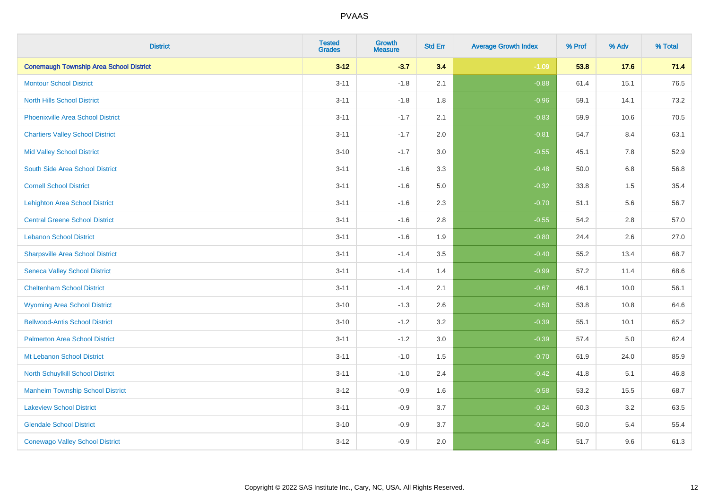| <b>District</b>                                | <b>Tested</b><br><b>Grades</b> | <b>Growth</b><br><b>Measure</b> | <b>Std Err</b> | <b>Average Growth Index</b> | % Prof | % Adv   | % Total |
|------------------------------------------------|--------------------------------|---------------------------------|----------------|-----------------------------|--------|---------|---------|
| <b>Conemaugh Township Area School District</b> | $3 - 12$                       | $-3.7$                          | 3.4            | $-1.09$                     | 53.8   | 17.6    | 71.4    |
| <b>Montour School District</b>                 | $3 - 11$                       | $-1.8$                          | 2.1            | $-0.88$                     | 61.4   | 15.1    | 76.5    |
| <b>North Hills School District</b>             | $3 - 11$                       | $-1.8$                          | 1.8            | $-0.96$                     | 59.1   | 14.1    | 73.2    |
| <b>Phoenixville Area School District</b>       | $3 - 11$                       | $-1.7$                          | 2.1            | $-0.83$                     | 59.9   | 10.6    | 70.5    |
| <b>Chartiers Valley School District</b>        | $3 - 11$                       | $-1.7$                          | 2.0            | $-0.81$                     | 54.7   | 8.4     | 63.1    |
| <b>Mid Valley School District</b>              | $3 - 10$                       | $-1.7$                          | 3.0            | $-0.55$                     | 45.1   | 7.8     | 52.9    |
| South Side Area School District                | $3 - 11$                       | $-1.6$                          | 3.3            | $-0.48$                     | 50.0   | $6.8\,$ | 56.8    |
| <b>Cornell School District</b>                 | $3 - 11$                       | $-1.6$                          | 5.0            | $-0.32$                     | 33.8   | 1.5     | 35.4    |
| <b>Lehighton Area School District</b>          | $3 - 11$                       | $-1.6$                          | 2.3            | $-0.70$                     | 51.1   | 5.6     | 56.7    |
| <b>Central Greene School District</b>          | $3 - 11$                       | $-1.6$                          | 2.8            | $-0.55$                     | 54.2   | 2.8     | 57.0    |
| <b>Lebanon School District</b>                 | $3 - 11$                       | $-1.6$                          | 1.9            | $-0.80$                     | 24.4   | 2.6     | 27.0    |
| <b>Sharpsville Area School District</b>        | $3 - 11$                       | $-1.4$                          | 3.5            | $-0.40$                     | 55.2   | 13.4    | 68.7    |
| <b>Seneca Valley School District</b>           | $3 - 11$                       | $-1.4$                          | 1.4            | $-0.99$                     | 57.2   | 11.4    | 68.6    |
| <b>Cheltenham School District</b>              | $3 - 11$                       | $-1.4$                          | 2.1            | $-0.67$                     | 46.1   | 10.0    | 56.1    |
| <b>Wyoming Area School District</b>            | $3 - 10$                       | $-1.3$                          | 2.6            | $-0.50$                     | 53.8   | 10.8    | 64.6    |
| <b>Bellwood-Antis School District</b>          | $3 - 10$                       | $-1.2$                          | 3.2            | $-0.39$                     | 55.1   | 10.1    | 65.2    |
| <b>Palmerton Area School District</b>          | $3 - 11$                       | $-1.2$                          | 3.0            | $-0.39$                     | 57.4   | 5.0     | 62.4    |
| Mt Lebanon School District                     | $3 - 11$                       | $-1.0$                          | 1.5            | $-0.70$                     | 61.9   | 24.0    | 85.9    |
| <b>North Schuylkill School District</b>        | $3 - 11$                       | $-1.0$                          | 2.4            | $-0.42$                     | 41.8   | 5.1     | 46.8    |
| <b>Manheim Township School District</b>        | $3 - 12$                       | $-0.9$                          | 1.6            | $-0.58$                     | 53.2   | 15.5    | 68.7    |
| <b>Lakeview School District</b>                | $3 - 11$                       | $-0.9$                          | 3.7            | $-0.24$                     | 60.3   | 3.2     | 63.5    |
| <b>Glendale School District</b>                | $3 - 10$                       | $-0.9$                          | 3.7            | $-0.24$                     | 50.0   | 5.4     | 55.4    |
| <b>Conewago Valley School District</b>         | $3-12$                         | $-0.9$                          | 2.0            | $-0.45$                     | 51.7   | 9.6     | 61.3    |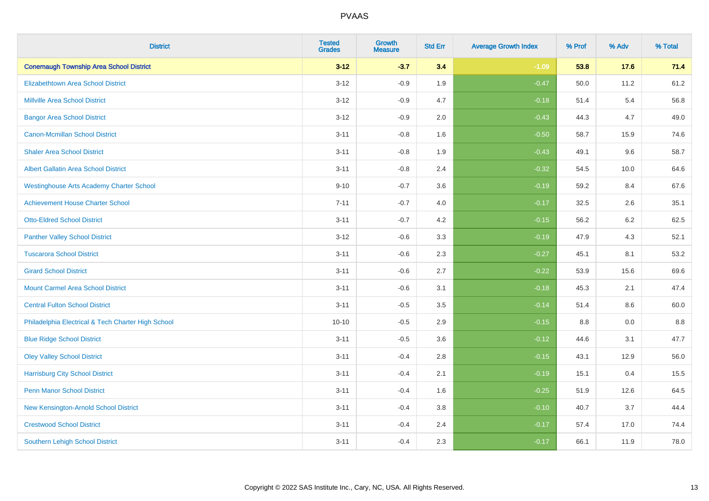| <b>District</b>                                    | <b>Tested</b><br><b>Grades</b> | <b>Growth</b><br><b>Measure</b> | <b>Std Err</b> | <b>Average Growth Index</b> | % Prof | % Adv   | % Total |
|----------------------------------------------------|--------------------------------|---------------------------------|----------------|-----------------------------|--------|---------|---------|
| <b>Conemaugh Township Area School District</b>     | $3 - 12$                       | $-3.7$                          | 3.4            | $-1.09$                     | 53.8   | 17.6    | 71.4    |
| <b>Elizabethtown Area School District</b>          | $3 - 12$                       | $-0.9$                          | 1.9            | $-0.47$                     | 50.0   | 11.2    | 61.2    |
| <b>Millville Area School District</b>              | $3 - 12$                       | $-0.9$                          | 4.7            | $-0.18$                     | 51.4   | 5.4     | 56.8    |
| <b>Bangor Area School District</b>                 | $3 - 12$                       | $-0.9$                          | 2.0            | $-0.43$                     | 44.3   | 4.7     | 49.0    |
| <b>Canon-Mcmillan School District</b>              | $3 - 11$                       | $-0.8$                          | 1.6            | $-0.50$                     | 58.7   | 15.9    | 74.6    |
| <b>Shaler Area School District</b>                 | $3 - 11$                       | $-0.8$                          | 1.9            | $-0.43$                     | 49.1   | 9.6     | 58.7    |
| <b>Albert Gallatin Area School District</b>        | $3 - 11$                       | $-0.8$                          | 2.4            | $-0.32$                     | 54.5   | 10.0    | 64.6    |
| <b>Westinghouse Arts Academy Charter School</b>    | $9 - 10$                       | $-0.7$                          | 3.6            | $-0.19$                     | 59.2   | 8.4     | 67.6    |
| <b>Achievement House Charter School</b>            | $7 - 11$                       | $-0.7$                          | 4.0            | $-0.17$                     | 32.5   | 2.6     | 35.1    |
| <b>Otto-Eldred School District</b>                 | $3 - 11$                       | $-0.7$                          | 4.2            | $-0.15$                     | 56.2   | $6.2\,$ | 62.5    |
| <b>Panther Valley School District</b>              | $3 - 12$                       | $-0.6$                          | 3.3            | $-0.19$                     | 47.9   | 4.3     | 52.1    |
| <b>Tuscarora School District</b>                   | $3 - 11$                       | $-0.6$                          | 2.3            | $-0.27$                     | 45.1   | 8.1     | 53.2    |
| <b>Girard School District</b>                      | $3 - 11$                       | $-0.6$                          | 2.7            | $-0.22$                     | 53.9   | 15.6    | 69.6    |
| <b>Mount Carmel Area School District</b>           | $3 - 11$                       | $-0.6$                          | 3.1            | $-0.18$                     | 45.3   | 2.1     | 47.4    |
| <b>Central Fulton School District</b>              | $3 - 11$                       | $-0.5$                          | 3.5            | $-0.14$                     | 51.4   | 8.6     | 60.0    |
| Philadelphia Electrical & Tech Charter High School | $10 - 10$                      | $-0.5$                          | 2.9            | $-0.15$                     | 8.8    | 0.0     | 8.8     |
| <b>Blue Ridge School District</b>                  | $3 - 11$                       | $-0.5$                          | 3.6            | $-0.12$                     | 44.6   | 3.1     | 47.7    |
| <b>Oley Valley School District</b>                 | $3 - 11$                       | $-0.4$                          | 2.8            | $-0.15$                     | 43.1   | 12.9    | 56.0    |
| <b>Harrisburg City School District</b>             | $3 - 11$                       | $-0.4$                          | 2.1            | $-0.19$                     | 15.1   | 0.4     | 15.5    |
| <b>Penn Manor School District</b>                  | $3 - 11$                       | $-0.4$                          | 1.6            | $-0.25$                     | 51.9   | 12.6    | 64.5    |
| New Kensington-Arnold School District              | $3 - 11$                       | $-0.4$                          | 3.8            | $-0.10$                     | 40.7   | 3.7     | 44.4    |
| <b>Crestwood School District</b>                   | $3 - 11$                       | $-0.4$                          | 2.4            | $-0.17$                     | 57.4   | 17.0    | 74.4    |
| <b>Southern Lehigh School District</b>             | $3 - 11$                       | $-0.4$                          | 2.3            | $-0.17$                     | 66.1   | 11.9    | 78.0    |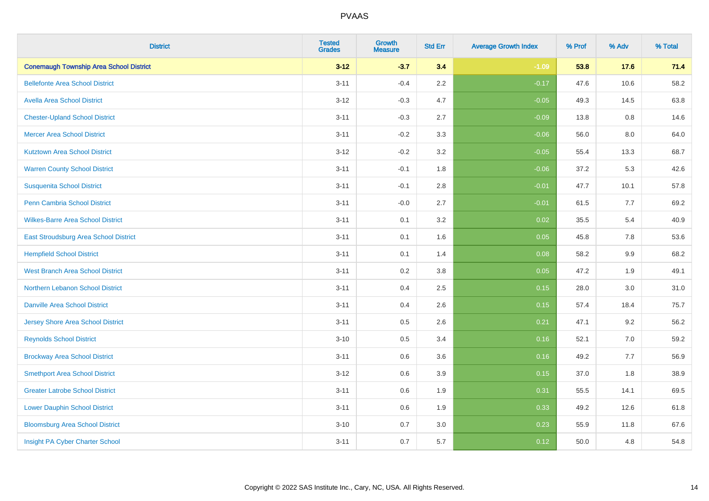| <b>District</b>                                | <b>Tested</b><br><b>Grades</b> | <b>Growth</b><br><b>Measure</b> | <b>Std Err</b> | <b>Average Growth Index</b> | % Prof | % Adv | % Total |
|------------------------------------------------|--------------------------------|---------------------------------|----------------|-----------------------------|--------|-------|---------|
| <b>Conemaugh Township Area School District</b> | $3 - 12$                       | $-3.7$                          | 3.4            | $-1.09$                     | 53.8   | 17.6  | 71.4    |
| <b>Bellefonte Area School District</b>         | $3 - 11$                       | $-0.4$                          | $2.2\,$        | $-0.17$                     | 47.6   | 10.6  | 58.2    |
| <b>Avella Area School District</b>             | $3 - 12$                       | $-0.3$                          | 4.7            | $-0.05$                     | 49.3   | 14.5  | 63.8    |
| <b>Chester-Upland School District</b>          | $3 - 11$                       | $-0.3$                          | 2.7            | $-0.09$                     | 13.8   | 0.8   | 14.6    |
| <b>Mercer Area School District</b>             | $3 - 11$                       | $-0.2$                          | 3.3            | $-0.06$                     | 56.0   | 8.0   | 64.0    |
| <b>Kutztown Area School District</b>           | $3 - 12$                       | $-0.2$                          | 3.2            | $-0.05$                     | 55.4   | 13.3  | 68.7    |
| <b>Warren County School District</b>           | $3 - 11$                       | $-0.1$                          | 1.8            | $-0.06$                     | 37.2   | 5.3   | 42.6    |
| <b>Susquenita School District</b>              | $3 - 11$                       | $-0.1$                          | 2.8            | $-0.01$                     | 47.7   | 10.1  | 57.8    |
| Penn Cambria School District                   | $3 - 11$                       | $-0.0$                          | 2.7            | $-0.01$                     | 61.5   | 7.7   | 69.2    |
| <b>Wilkes-Barre Area School District</b>       | $3 - 11$                       | 0.1                             | 3.2            | 0.02                        | 35.5   | 5.4   | 40.9    |
| East Stroudsburg Area School District          | $3 - 11$                       | 0.1                             | 1.6            | 0.05                        | 45.8   | 7.8   | 53.6    |
| <b>Hempfield School District</b>               | $3 - 11$                       | 0.1                             | 1.4            | 0.08                        | 58.2   | 9.9   | 68.2    |
| <b>West Branch Area School District</b>        | $3 - 11$                       | 0.2                             | $3.8\,$        | 0.05                        | 47.2   | 1.9   | 49.1    |
| Northern Lebanon School District               | $3 - 11$                       | 0.4                             | 2.5            | 0.15                        | 28.0   | 3.0   | 31.0    |
| <b>Danville Area School District</b>           | $3 - 11$                       | 0.4                             | 2.6            | 0.15                        | 57.4   | 18.4  | 75.7    |
| <b>Jersey Shore Area School District</b>       | $3 - 11$                       | 0.5                             | 2.6            | 0.21                        | 47.1   | 9.2   | 56.2    |
| <b>Reynolds School District</b>                | $3 - 10$                       | 0.5                             | 3.4            | 0.16                        | 52.1   | 7.0   | 59.2    |
| <b>Brockway Area School District</b>           | $3 - 11$                       | 0.6                             | 3.6            | 0.16                        | 49.2   | 7.7   | 56.9    |
| <b>Smethport Area School District</b>          | $3 - 12$                       | 0.6                             | 3.9            | 0.15                        | 37.0   | 1.8   | 38.9    |
| <b>Greater Latrobe School District</b>         | $3 - 11$                       | 0.6                             | 1.9            | 0.31                        | 55.5   | 14.1  | 69.5    |
| <b>Lower Dauphin School District</b>           | $3 - 11$                       | 0.6                             | 1.9            | 0.33                        | 49.2   | 12.6  | 61.8    |
| <b>Bloomsburg Area School District</b>         | $3 - 10$                       | 0.7                             | 3.0            | 0.23                        | 55.9   | 11.8  | 67.6    |
| Insight PA Cyber Charter School                | $3 - 11$                       | 0.7                             | 5.7            | 0.12                        | 50.0   | 4.8   | 54.8    |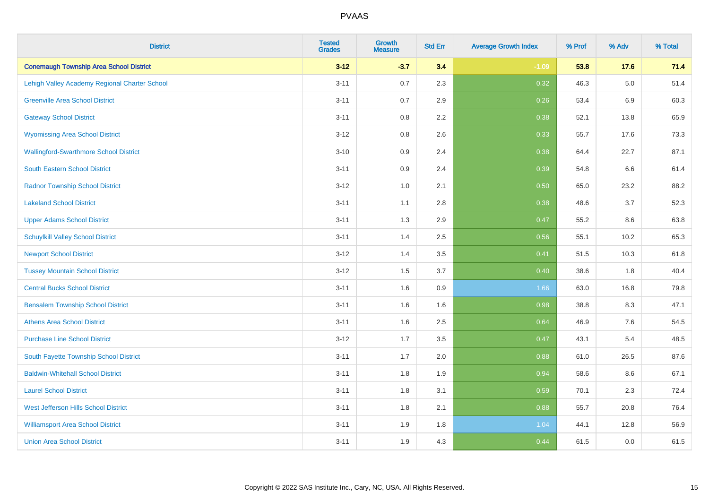| <b>District</b>                                | <b>Tested</b><br><b>Grades</b> | Growth<br><b>Measure</b> | <b>Std Err</b> | <b>Average Growth Index</b> | % Prof | % Adv   | % Total |
|------------------------------------------------|--------------------------------|--------------------------|----------------|-----------------------------|--------|---------|---------|
| <b>Conemaugh Township Area School District</b> | $3 - 12$                       | $-3.7$                   | 3.4            | $-1.09$                     | 53.8   | 17.6    | 71.4    |
| Lehigh Valley Academy Regional Charter School  | $3 - 11$                       | 0.7                      | 2.3            | 0.32                        | 46.3   | $5.0\,$ | 51.4    |
| <b>Greenville Area School District</b>         | $3 - 11$                       | 0.7                      | 2.9            | 0.26                        | 53.4   | $6.9\,$ | 60.3    |
| <b>Gateway School District</b>                 | $3 - 11$                       | 0.8                      | 2.2            | 0.38                        | 52.1   | 13.8    | 65.9    |
| <b>Wyomissing Area School District</b>         | $3 - 12$                       | 0.8                      | 2.6            | 0.33                        | 55.7   | 17.6    | 73.3    |
| <b>Wallingford-Swarthmore School District</b>  | $3 - 10$                       | 0.9                      | 2.4            | 0.38                        | 64.4   | 22.7    | 87.1    |
| <b>South Eastern School District</b>           | $3 - 11$                       | 0.9                      | 2.4            | 0.39                        | 54.8   | 6.6     | 61.4    |
| <b>Radnor Township School District</b>         | $3 - 12$                       | 1.0                      | 2.1            | 0.50                        | 65.0   | 23.2    | 88.2    |
| <b>Lakeland School District</b>                | $3 - 11$                       | 1.1                      | 2.8            | 0.38                        | 48.6   | 3.7     | 52.3    |
| <b>Upper Adams School District</b>             | $3 - 11$                       | 1.3                      | 2.9            | 0.47                        | 55.2   | 8.6     | 63.8    |
| <b>Schuylkill Valley School District</b>       | $3 - 11$                       | 1.4                      | 2.5            | 0.56                        | 55.1   | 10.2    | 65.3    |
| <b>Newport School District</b>                 | $3 - 12$                       | 1.4                      | 3.5            | 0.41                        | 51.5   | 10.3    | 61.8    |
| <b>Tussey Mountain School District</b>         | $3 - 12$                       | 1.5                      | 3.7            | 0.40                        | 38.6   | 1.8     | 40.4    |
| <b>Central Bucks School District</b>           | $3 - 11$                       | 1.6                      | 0.9            | 1.66                        | 63.0   | 16.8    | 79.8    |
| <b>Bensalem Township School District</b>       | $3 - 11$                       | 1.6                      | 1.6            | 0.98                        | 38.8   | 8.3     | 47.1    |
| <b>Athens Area School District</b>             | $3 - 11$                       | 1.6                      | 2.5            | 0.64                        | 46.9   | $7.6\,$ | 54.5    |
| <b>Purchase Line School District</b>           | $3 - 12$                       | 1.7                      | 3.5            | 0.47                        | 43.1   | 5.4     | 48.5    |
| South Fayette Township School District         | $3 - 11$                       | 1.7                      | 2.0            | 0.88                        | 61.0   | 26.5    | 87.6    |
| <b>Baldwin-Whitehall School District</b>       | $3 - 11$                       | 1.8                      | 1.9            | 0.94                        | 58.6   | 8.6     | 67.1    |
| <b>Laurel School District</b>                  | $3 - 11$                       | 1.8                      | 3.1            | 0.59                        | 70.1   | 2.3     | 72.4    |
| <b>West Jefferson Hills School District</b>    | $3 - 11$                       | 1.8                      | 2.1            | 0.88                        | 55.7   | 20.8    | 76.4    |
| <b>Williamsport Area School District</b>       | $3 - 11$                       | 1.9                      | 1.8            | 1.04                        | 44.1   | 12.8    | 56.9    |
| <b>Union Area School District</b>              | $3 - 11$                       | 1.9                      | 4.3            | 0.44                        | 61.5   | 0.0     | 61.5    |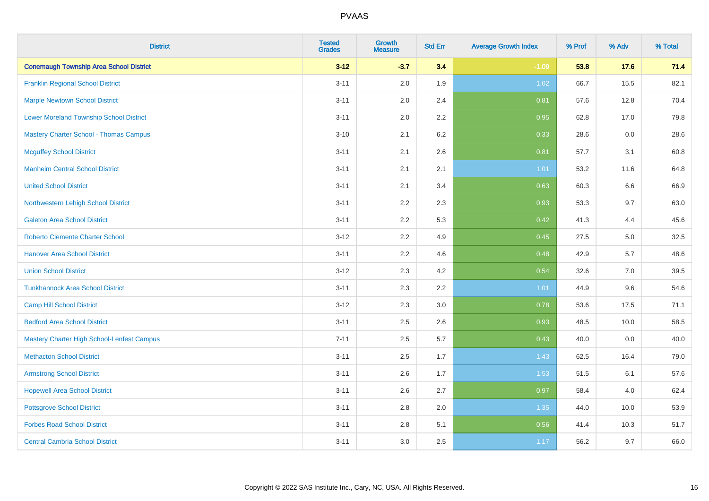| <b>District</b>                                   | <b>Tested</b><br><b>Grades</b> | <b>Growth</b><br><b>Measure</b> | <b>Std Err</b> | <b>Average Growth Index</b> | % Prof | % Adv   | % Total |
|---------------------------------------------------|--------------------------------|---------------------------------|----------------|-----------------------------|--------|---------|---------|
| <b>Conemaugh Township Area School District</b>    | $3 - 12$                       | $-3.7$                          | 3.4            | $-1.09$                     | 53.8   | 17.6    | 71.4    |
| <b>Franklin Regional School District</b>          | $3 - 11$                       | 2.0                             | 1.9            | 1.02                        | 66.7   | 15.5    | 82.1    |
| <b>Marple Newtown School District</b>             | $3 - 11$                       | 2.0                             | 2.4            | 0.81                        | 57.6   | 12.8    | 70.4    |
| <b>Lower Moreland Township School District</b>    | $3 - 11$                       | 2.0                             | 2.2            | 0.95                        | 62.8   | 17.0    | 79.8    |
| <b>Mastery Charter School - Thomas Campus</b>     | $3 - 10$                       | 2.1                             | 6.2            | 0.33                        | 28.6   | 0.0     | 28.6    |
| <b>Mcguffey School District</b>                   | $3 - 11$                       | 2.1                             | 2.6            | 0.81                        | 57.7   | 3.1     | 60.8    |
| <b>Manheim Central School District</b>            | $3 - 11$                       | 2.1                             | 2.1            | 1.01                        | 53.2   | 11.6    | 64.8    |
| <b>United School District</b>                     | $3 - 11$                       | 2.1                             | 3.4            | 0.63                        | 60.3   | 6.6     | 66.9    |
| Northwestern Lehigh School District               | $3 - 11$                       | 2.2                             | 2.3            | 0.93                        | 53.3   | 9.7     | 63.0    |
| <b>Galeton Area School District</b>               | $3 - 11$                       | 2.2                             | 5.3            | 0.42                        | 41.3   | 4.4     | 45.6    |
| <b>Roberto Clemente Charter School</b>            | $3 - 12$                       | 2.2                             | 4.9            | 0.45                        | 27.5   | 5.0     | 32.5    |
| <b>Hanover Area School District</b>               | $3 - 11$                       | 2.2                             | 4.6            | 0.48                        | 42.9   | 5.7     | 48.6    |
| <b>Union School District</b>                      | $3 - 12$                       | 2.3                             | 4.2            | 0.54                        | 32.6   | $7.0\,$ | 39.5    |
| <b>Tunkhannock Area School District</b>           | $3 - 11$                       | 2.3                             | 2.2            | 1.01                        | 44.9   | 9.6     | 54.6    |
| <b>Camp Hill School District</b>                  | $3 - 12$                       | 2.3                             | 3.0            | 0.78                        | 53.6   | 17.5    | 71.1    |
| <b>Bedford Area School District</b>               | $3 - 11$                       | 2.5                             | 2.6            | 0.93                        | 48.5   | 10.0    | 58.5    |
| <b>Mastery Charter High School-Lenfest Campus</b> | $7 - 11$                       | 2.5                             | 5.7            | 0.43                        | 40.0   | 0.0     | 40.0    |
| <b>Methacton School District</b>                  | $3 - 11$                       | 2.5                             | 1.7            | 1.43                        | 62.5   | 16.4    | 79.0    |
| <b>Armstrong School District</b>                  | $3 - 11$                       | 2.6                             | 1.7            | 1.53                        | 51.5   | 6.1     | 57.6    |
| <b>Hopewell Area School District</b>              | $3 - 11$                       | 2.6                             | 2.7            | 0.97                        | 58.4   | 4.0     | 62.4    |
| <b>Pottsgrove School District</b>                 | $3 - 11$                       | 2.8                             | 2.0            | 1.35                        | 44.0   | 10.0    | 53.9    |
| <b>Forbes Road School District</b>                | $3 - 11$                       | $2.8\,$                         | 5.1            | 0.56                        | 41.4   | 10.3    | 51.7    |
| <b>Central Cambria School District</b>            | $3 - 11$                       | 3.0                             | 2.5            | 1.17                        | 56.2   | 9.7     | 66.0    |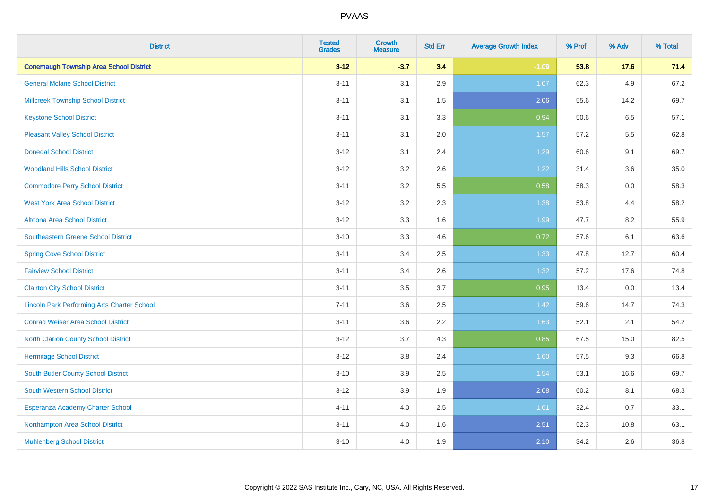| <b>District</b>                                    | <b>Tested</b><br><b>Grades</b> | <b>Growth</b><br><b>Measure</b> | <b>Std Err</b> | <b>Average Growth Index</b> | % Prof | % Adv | % Total |
|----------------------------------------------------|--------------------------------|---------------------------------|----------------|-----------------------------|--------|-------|---------|
| <b>Conemaugh Township Area School District</b>     | $3 - 12$                       | $-3.7$                          | 3.4            | $-1.09$                     | 53.8   | 17.6  | 71.4    |
| <b>General Mclane School District</b>              | $3 - 11$                       | 3.1                             | 2.9            | 1.07                        | 62.3   | 4.9   | 67.2    |
| <b>Millcreek Township School District</b>          | $3 - 11$                       | 3.1                             | 1.5            | 2.06                        | 55.6   | 14.2  | 69.7    |
| <b>Keystone School District</b>                    | $3 - 11$                       | 3.1                             | 3.3            | 0.94                        | 50.6   | 6.5   | 57.1    |
| <b>Pleasant Valley School District</b>             | $3 - 11$                       | 3.1                             | 2.0            | 1.57                        | 57.2   | 5.5   | 62.8    |
| <b>Donegal School District</b>                     | $3 - 12$                       | 3.1                             | 2.4            | 1.29                        | 60.6   | 9.1   | 69.7    |
| <b>Woodland Hills School District</b>              | $3 - 12$                       | 3.2                             | 2.6            | 1.22                        | 31.4   | 3.6   | 35.0    |
| <b>Commodore Perry School District</b>             | $3 - 11$                       | 3.2                             | 5.5            | 0.58                        | 58.3   | 0.0   | 58.3    |
| <b>West York Area School District</b>              | $3 - 12$                       | 3.2                             | 2.3            | 1.38                        | 53.8   | 4.4   | 58.2    |
| <b>Altoona Area School District</b>                | $3 - 12$                       | 3.3                             | 1.6            | 1.99                        | 47.7   | 8.2   | 55.9    |
| Southeastern Greene School District                | $3 - 10$                       | 3.3                             | 4.6            | 0.72                        | 57.6   | 6.1   | 63.6    |
| <b>Spring Cove School District</b>                 | $3 - 11$                       | 3.4                             | 2.5            | 1.33                        | 47.8   | 12.7  | 60.4    |
| <b>Fairview School District</b>                    | $3 - 11$                       | 3.4                             | 2.6            | 1.32                        | 57.2   | 17.6  | 74.8    |
| <b>Clairton City School District</b>               | $3 - 11$                       | 3.5                             | 3.7            | 0.95                        | 13.4   | 0.0   | 13.4    |
| <b>Lincoln Park Performing Arts Charter School</b> | $7 - 11$                       | 3.6                             | 2.5            | 1.42                        | 59.6   | 14.7  | 74.3    |
| <b>Conrad Weiser Area School District</b>          | $3 - 11$                       | 3.6                             | 2.2            | 1.63                        | 52.1   | 2.1   | 54.2    |
| <b>North Clarion County School District</b>        | $3 - 12$                       | 3.7                             | 4.3            | 0.85                        | 67.5   | 15.0  | 82.5    |
| <b>Hermitage School District</b>                   | $3 - 12$                       | $3.8\,$                         | 2.4            | 1.60                        | 57.5   | 9.3   | 66.8    |
| <b>South Butler County School District</b>         | $3 - 10$                       | 3.9                             | 2.5            | 1.54                        | 53.1   | 16.6  | 69.7    |
| <b>South Western School District</b>               | $3 - 12$                       | 3.9                             | 1.9            | 2.08                        | 60.2   | 8.1   | 68.3    |
| Esperanza Academy Charter School                   | $4 - 11$                       | 4.0                             | 2.5            | 1.61                        | 32.4   | 0.7   | 33.1    |
| Northampton Area School District                   | $3 - 11$                       | 4.0                             | 1.6            | 2.51                        | 52.3   | 10.8  | 63.1    |
| <b>Muhlenberg School District</b>                  | $3 - 10$                       | 4.0                             | 1.9            | 2.10                        | 34.2   | 2.6   | 36.8    |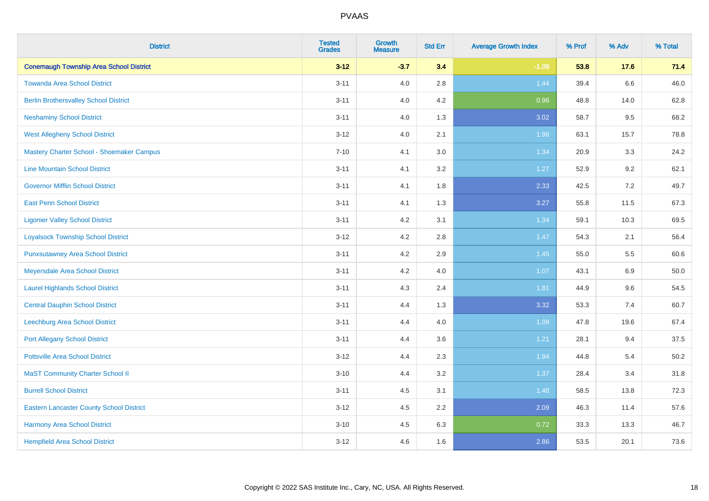| <b>District</b>                                 | <b>Tested</b><br><b>Grades</b> | <b>Growth</b><br><b>Measure</b> | <b>Std Err</b> | <b>Average Growth Index</b> | % Prof | % Adv | % Total |
|-------------------------------------------------|--------------------------------|---------------------------------|----------------|-----------------------------|--------|-------|---------|
| <b>Conemaugh Township Area School District</b>  | $3 - 12$                       | $-3.7$                          | 3.4            | $-1.09$                     | 53.8   | 17.6  | 71.4    |
| <b>Towanda Area School District</b>             | $3 - 11$                       | 4.0                             | 2.8            | 1.44                        | 39.4   | 6.6   | 46.0    |
| <b>Berlin Brothersvalley School District</b>    | $3 - 11$                       | 4.0                             | 4.2            | 0.96                        | 48.8   | 14.0  | 62.8    |
| <b>Neshaminy School District</b>                | $3 - 11$                       | 4.0                             | 1.3            | 3.02                        | 58.7   | 9.5   | 68.2    |
| <b>West Allegheny School District</b>           | $3 - 12$                       | 4.0                             | 2.1            | 1.96                        | 63.1   | 15.7  | 78.8    |
| Mastery Charter School - Shoemaker Campus       | $7 - 10$                       | 4.1                             | 3.0            | 1.34                        | 20.9   | 3.3   | 24.2    |
| <b>Line Mountain School District</b>            | $3 - 11$                       | 4.1                             | 3.2            | 1.27                        | 52.9   | 9.2   | 62.1    |
| <b>Governor Mifflin School District</b>         | $3 - 11$                       | 4.1                             | 1.8            | 2.33                        | 42.5   | 7.2   | 49.7    |
| <b>East Penn School District</b>                | $3 - 11$                       | 4.1                             | 1.3            | 3.27                        | 55.8   | 11.5  | 67.3    |
| <b>Ligonier Valley School District</b>          | $3 - 11$                       | 4.2                             | 3.1            | 1.34                        | 59.1   | 10.3  | 69.5    |
| <b>Loyalsock Township School District</b>       | $3 - 12$                       | 4.2                             | 2.8            | 1.47                        | 54.3   | 2.1   | 56.4    |
| <b>Punxsutawney Area School District</b>        | $3 - 11$                       | 4.2                             | 2.9            | 1.45                        | 55.0   | 5.5   | 60.6    |
| Meyersdale Area School District                 | $3 - 11$                       | 4.2                             | 4.0            | 1.07                        | 43.1   | 6.9   | 50.0    |
| <b>Laurel Highlands School District</b>         | $3 - 11$                       | 4.3                             | 2.4            | 1.81                        | 44.9   | 9.6   | 54.5    |
| <b>Central Dauphin School District</b>          | $3 - 11$                       | 4.4                             | 1.3            | 3.32                        | 53.3   | 7.4   | 60.7    |
| <b>Leechburg Area School District</b>           | $3 - 11$                       | 4.4                             | 4.0            | 1.09                        | 47.8   | 19.6  | 67.4    |
| <b>Port Allegany School District</b>            | $3 - 11$                       | 4.4                             | 3.6            | 1.21                        | 28.1   | 9.4   | 37.5    |
| <b>Pottsville Area School District</b>          | $3 - 12$                       | 4.4                             | 2.3            | 1.94                        | 44.8   | 5.4   | 50.2    |
| <b>MaST Community Charter School II</b>         | $3 - 10$                       | 4.4                             | 3.2            | 1.37                        | 28.4   | 3.4   | 31.8    |
| <b>Burrell School District</b>                  | $3 - 11$                       | 4.5                             | 3.1            | 1.48                        | 58.5   | 13.8  | 72.3    |
| <b>Eastern Lancaster County School District</b> | $3 - 12$                       | 4.5                             | 2.2            | 2.09                        | 46.3   | 11.4  | 57.6    |
| Harmony Area School District                    | $3 - 10$                       | 4.5                             | 6.3            | 0.72                        | 33.3   | 13.3  | 46.7    |
| <b>Hempfield Area School District</b>           | $3 - 12$                       | 4.6                             | 1.6            | 2.86                        | 53.5   | 20.1  | 73.6    |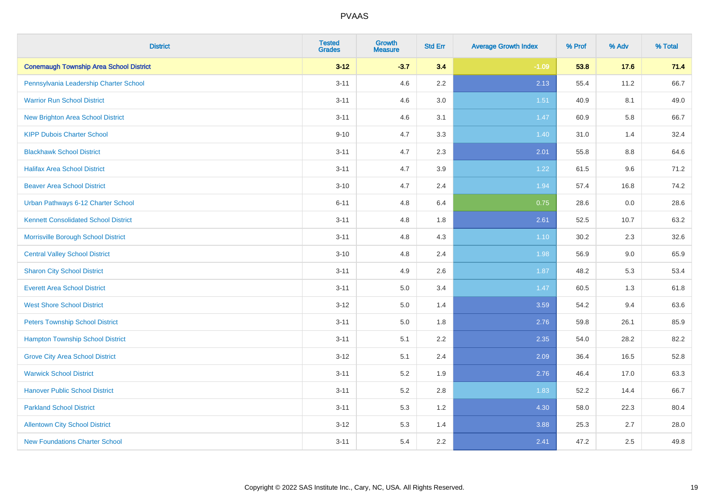| <b>District</b>                                | <b>Tested</b><br><b>Grades</b> | <b>Growth</b><br><b>Measure</b> | <b>Std Err</b> | <b>Average Growth Index</b> | % Prof | % Adv | % Total |
|------------------------------------------------|--------------------------------|---------------------------------|----------------|-----------------------------|--------|-------|---------|
| <b>Conemaugh Township Area School District</b> | $3 - 12$                       | $-3.7$                          | 3.4            | $-1.09$                     | 53.8   | 17.6  | 71.4    |
| Pennsylvania Leadership Charter School         | $3 - 11$                       | 4.6                             | $2.2\,$        | 2.13                        | 55.4   | 11.2  | 66.7    |
| <b>Warrior Run School District</b>             | $3 - 11$                       | 4.6                             | 3.0            | 1.51                        | 40.9   | 8.1   | 49.0    |
| <b>New Brighton Area School District</b>       | $3 - 11$                       | 4.6                             | 3.1            | 1.47                        | 60.9   | 5.8   | 66.7    |
| <b>KIPP Dubois Charter School</b>              | $9 - 10$                       | 4.7                             | 3.3            | 1.40                        | 31.0   | 1.4   | 32.4    |
| <b>Blackhawk School District</b>               | $3 - 11$                       | 4.7                             | 2.3            | 2.01                        | 55.8   | 8.8   | 64.6    |
| <b>Halifax Area School District</b>            | $3 - 11$                       | 4.7                             | 3.9            | 1.22                        | 61.5   | 9.6   | 71.2    |
| <b>Beaver Area School District</b>             | $3 - 10$                       | 4.7                             | 2.4            | 1.94                        | 57.4   | 16.8  | 74.2    |
| Urban Pathways 6-12 Charter School             | $6 - 11$                       | 4.8                             | 6.4            | 0.75                        | 28.6   | 0.0   | 28.6    |
| <b>Kennett Consolidated School District</b>    | $3 - 11$                       | 4.8                             | 1.8            | 2.61                        | 52.5   | 10.7  | 63.2    |
| Morrisville Borough School District            | $3 - 11$                       | 4.8                             | 4.3            | $1.10$                      | 30.2   | 2.3   | 32.6    |
| <b>Central Valley School District</b>          | $3 - 10$                       | 4.8                             | 2.4            | 1.98                        | 56.9   | 9.0   | 65.9    |
| <b>Sharon City School District</b>             | $3 - 11$                       | 4.9                             | 2.6            | 1.87                        | 48.2   | 5.3   | 53.4    |
| <b>Everett Area School District</b>            | $3 - 11$                       | $5.0\,$                         | 3.4            | 1.47                        | 60.5   | 1.3   | 61.8    |
| <b>West Shore School District</b>              | $3 - 12$                       | 5.0                             | 1.4            | 3.59                        | 54.2   | 9.4   | 63.6    |
| <b>Peters Township School District</b>         | $3 - 11$                       | 5.0                             | 1.8            | 2.76                        | 59.8   | 26.1  | 85.9    |
| <b>Hampton Township School District</b>        | $3 - 11$                       | 5.1                             | 2.2            | 2.35                        | 54.0   | 28.2  | 82.2    |
| <b>Grove City Area School District</b>         | $3 - 12$                       | 5.1                             | 2.4            | 2.09                        | 36.4   | 16.5  | 52.8    |
| <b>Warwick School District</b>                 | $3 - 11$                       | 5.2                             | 1.9            | 2.76                        | 46.4   | 17.0  | 63.3    |
| <b>Hanover Public School District</b>          | $3 - 11$                       | 5.2                             | 2.8            | 1.83                        | 52.2   | 14.4  | 66.7    |
| <b>Parkland School District</b>                | $3 - 11$                       | 5.3                             | 1.2            | 4.30                        | 58.0   | 22.3  | 80.4    |
| <b>Allentown City School District</b>          | $3 - 12$                       | 5.3                             | 1.4            | 3.88                        | 25.3   | 2.7   | 28.0    |
| <b>New Foundations Charter School</b>          | $3 - 11$                       | 5.4                             | 2.2            | 2.41                        | 47.2   | 2.5   | 49.8    |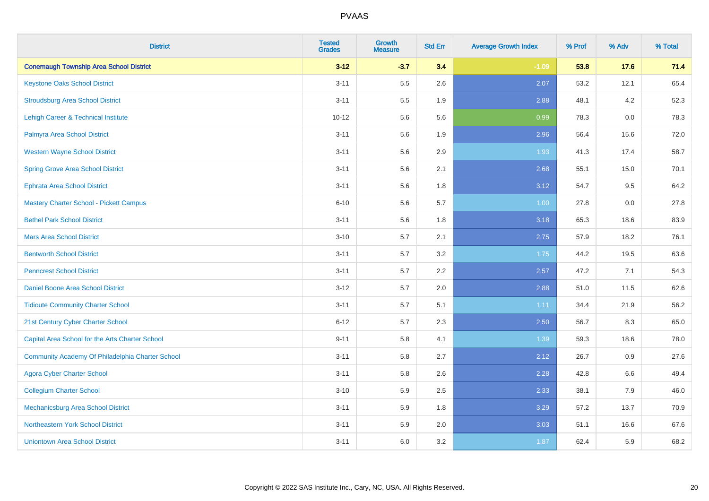| <b>District</b>                                  | <b>Tested</b><br><b>Grades</b> | <b>Growth</b><br><b>Measure</b> | <b>Std Err</b> | <b>Average Growth Index</b> | % Prof | % Adv | % Total |
|--------------------------------------------------|--------------------------------|---------------------------------|----------------|-----------------------------|--------|-------|---------|
| <b>Conemaugh Township Area School District</b>   | $3 - 12$                       | $-3.7$                          | 3.4            | $-1.09$                     | 53.8   | 17.6  | 71.4    |
| <b>Keystone Oaks School District</b>             | $3 - 11$                       | 5.5                             | 2.6            | 2.07                        | 53.2   | 12.1  | 65.4    |
| <b>Stroudsburg Area School District</b>          | $3 - 11$                       | 5.5                             | 1.9            | 2.88                        | 48.1   | 4.2   | 52.3    |
| Lehigh Career & Technical Institute              | $10 - 12$                      | 5.6                             | 5.6            | 0.99                        | 78.3   | 0.0   | 78.3    |
| Palmyra Area School District                     | $3 - 11$                       | 5.6                             | 1.9            | 2.96                        | 56.4   | 15.6  | 72.0    |
| <b>Western Wayne School District</b>             | $3 - 11$                       | 5.6                             | 2.9            | 1.93                        | 41.3   | 17.4  | 58.7    |
| <b>Spring Grove Area School District</b>         | $3 - 11$                       | 5.6                             | 2.1            | 2.68                        | 55.1   | 15.0  | 70.1    |
| <b>Ephrata Area School District</b>              | $3 - 11$                       | 5.6                             | 1.8            | 3.12                        | 54.7   | 9.5   | 64.2    |
| <b>Mastery Charter School - Pickett Campus</b>   | $6 - 10$                       | 5.6                             | 5.7            | 1.00                        | 27.8   | 0.0   | 27.8    |
| <b>Bethel Park School District</b>               | $3 - 11$                       | 5.6                             | 1.8            | 3.18                        | 65.3   | 18.6  | 83.9    |
| <b>Mars Area School District</b>                 | $3 - 10$                       | 5.7                             | 2.1            | 2.75                        | 57.9   | 18.2  | 76.1    |
| <b>Bentworth School District</b>                 | $3 - 11$                       | 5.7                             | 3.2            | 1.75                        | 44.2   | 19.5  | 63.6    |
| <b>Penncrest School District</b>                 | $3 - 11$                       | 5.7                             | 2.2            | 2.57                        | 47.2   | 7.1   | 54.3    |
| Daniel Boone Area School District                | $3 - 12$                       | 5.7                             | 2.0            | 2.88                        | 51.0   | 11.5  | 62.6    |
| <b>Tidioute Community Charter School</b>         | $3 - 11$                       | 5.7                             | 5.1            | 1.11                        | 34.4   | 21.9  | 56.2    |
| 21st Century Cyber Charter School                | $6 - 12$                       | 5.7                             | 2.3            | 2.50                        | 56.7   | 8.3   | 65.0    |
| Capital Area School for the Arts Charter School  | $9 - 11$                       | 5.8                             | 4.1            | 1.39                        | 59.3   | 18.6  | 78.0    |
| Community Academy Of Philadelphia Charter School | $3 - 11$                       | 5.8                             | 2.7            | 2.12                        | 26.7   | 0.9   | 27.6    |
| <b>Agora Cyber Charter School</b>                | $3 - 11$                       | 5.8                             | 2.6            | 2.28                        | 42.8   | 6.6   | 49.4    |
| <b>Collegium Charter School</b>                  | $3 - 10$                       | 5.9                             | 2.5            | 2.33                        | 38.1   | 7.9   | 46.0    |
| <b>Mechanicsburg Area School District</b>        | $3 - 11$                       | 5.9                             | 1.8            | 3.29                        | 57.2   | 13.7  | 70.9    |
| Northeastern York School District                | $3 - 11$                       | 5.9                             | 2.0            | 3.03                        | 51.1   | 16.6  | 67.6    |
| <b>Uniontown Area School District</b>            | $3 - 11$                       | 6.0                             | 3.2            | 1.87                        | 62.4   | 5.9   | 68.2    |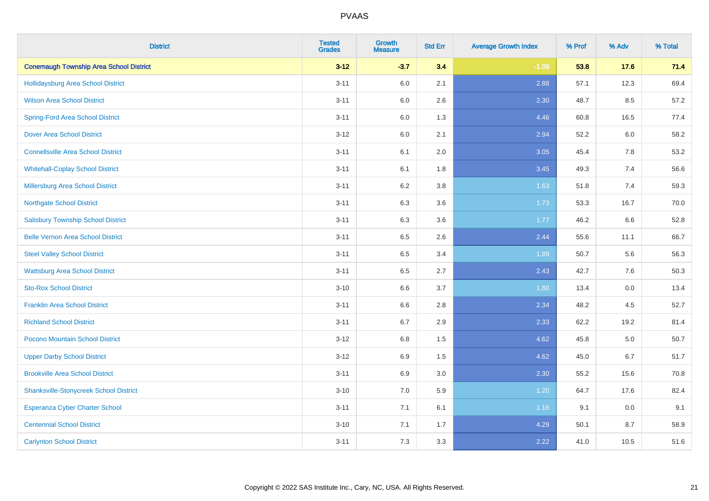| <b>District</b>                                | <b>Tested</b><br><b>Grades</b> | <b>Growth</b><br><b>Measure</b> | <b>Std Err</b> | <b>Average Growth Index</b> | % Prof | % Adv   | % Total |
|------------------------------------------------|--------------------------------|---------------------------------|----------------|-----------------------------|--------|---------|---------|
| <b>Conemaugh Township Area School District</b> | $3 - 12$                       | $-3.7$                          | 3.4            | $-1.09$                     | 53.8   | 17.6    | 71.4    |
| <b>Hollidaysburg Area School District</b>      | $3 - 11$                       | 6.0                             | 2.1            | 2.88                        | 57.1   | 12.3    | 69.4    |
| <b>Wilson Area School District</b>             | $3 - 11$                       | 6.0                             | 2.6            | 2.30                        | 48.7   | $8.5\,$ | 57.2    |
| <b>Spring-Ford Area School District</b>        | $3 - 11$                       | 6.0                             | 1.3            | 4.46                        | 60.8   | 16.5    | 77.4    |
| <b>Dover Area School District</b>              | $3 - 12$                       | 6.0                             | 2.1            | 2.94                        | 52.2   | 6.0     | 58.2    |
| <b>Connellsville Area School District</b>      | $3 - 11$                       | 6.1                             | 2.0            | 3.05                        | 45.4   | 7.8     | 53.2    |
| <b>Whitehall-Coplay School District</b>        | $3 - 11$                       | 6.1                             | 1.8            | 3.45                        | 49.3   | 7.4     | 56.6    |
| Millersburg Area School District               | $3 - 11$                       | 6.2                             | 3.8            | 1.63                        | 51.8   | 7.4     | 59.3    |
| <b>Northgate School District</b>               | $3 - 11$                       | 6.3                             | 3.6            | 1.73                        | 53.3   | 16.7    | 70.0    |
| <b>Salisbury Township School District</b>      | $3 - 11$                       | 6.3                             | 3.6            | 1.77                        | 46.2   | 6.6     | 52.8    |
| <b>Belle Vernon Area School District</b>       | $3 - 11$                       | 6.5                             | 2.6            | 2.44                        | 55.6   | 11.1    | 66.7    |
| <b>Steel Valley School District</b>            | $3 - 11$                       | 6.5                             | 3.4            | 1.89                        | 50.7   | 5.6     | 56.3    |
| <b>Wattsburg Area School District</b>          | $3 - 11$                       | 6.5                             | 2.7            | 2.43                        | 42.7   | 7.6     | 50.3    |
| <b>Sto-Rox School District</b>                 | $3 - 10$                       | 6.6                             | 3.7            | 1.80                        | 13.4   | $0.0\,$ | 13.4    |
| <b>Franklin Area School District</b>           | $3 - 11$                       | 6.6                             | $2.8\,$        | 2.34                        | 48.2   | 4.5     | 52.7    |
| <b>Richland School District</b>                | $3 - 11$                       | 6.7                             | 2.9            | 2.33                        | 62.2   | 19.2    | 81.4    |
| Pocono Mountain School District                | $3 - 12$                       | 6.8                             | 1.5            | 4.62                        | 45.8   | $5.0\,$ | 50.7    |
| <b>Upper Darby School District</b>             | $3 - 12$                       | 6.9                             | 1.5            | 4.62                        | 45.0   | 6.7     | 51.7    |
| <b>Brookville Area School District</b>         | $3 - 11$                       | 6.9                             | $3.0\,$        | 2.30                        | 55.2   | 15.6    | 70.8    |
| <b>Shanksville-Stonycreek School District</b>  | $3 - 10$                       | 7.0                             | 5.9            | 1.20                        | 64.7   | 17.6    | 82.4    |
| Esperanza Cyber Charter School                 | $3 - 11$                       | 7.1                             | 6.1            | 1.16                        | 9.1    | 0.0     | 9.1     |
| <b>Centennial School District</b>              | $3 - 10$                       | 7.1                             | 1.7            | 4.29                        | 50.1   | 8.7     | 58.9    |
| <b>Carlynton School District</b>               | $3 - 11$                       | 7.3                             | 3.3            | 2.22                        | 41.0   | 10.5    | 51.6    |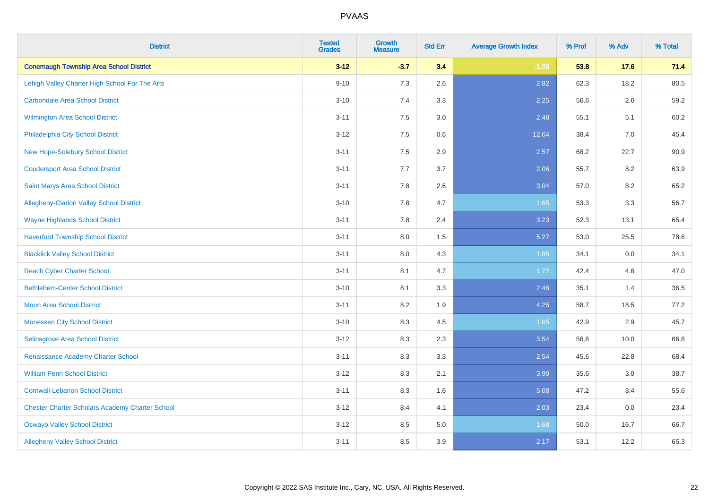| <b>District</b>                                        | <b>Tested</b><br><b>Grades</b> | Growth<br><b>Measure</b> | <b>Std Err</b> | <b>Average Growth Index</b> | % Prof | % Adv   | % Total |
|--------------------------------------------------------|--------------------------------|--------------------------|----------------|-----------------------------|--------|---------|---------|
| <b>Conemaugh Township Area School District</b>         | $3 - 12$                       | $-3.7$                   | 3.4            | $-1.09$                     | 53.8   | 17.6    | 71.4    |
| Lehigh Valley Charter High School For The Arts         | $9 - 10$                       | 7.3                      | 2.6            | 2.82                        | 62.3   | 18.2    | 80.5    |
| Carbondale Area School District                        | $3 - 10$                       | 7.4                      | 3.3            | 2.25                        | 56.6   | $2.6\,$ | 59.2    |
| Wilmington Area School District                        | $3 - 11$                       | 7.5                      | 3.0            | 2.48                        | 55.1   | 5.1     | 60.2    |
| Philadelphia City School District                      | $3 - 12$                       | 7.5                      | 0.6            | 12.64                       | 38.4   | 7.0     | 45.4    |
| New Hope-Solebury School District                      | $3 - 11$                       | 7.5                      | 2.9            | 2.57                        | 68.2   | 22.7    | 90.9    |
| <b>Coudersport Area School District</b>                | $3 - 11$                       | 7.7                      | 3.7            | 2.06                        | 55.7   | 8.2     | 63.9    |
| Saint Marys Area School District                       | $3 - 11$                       | 7.8                      | 2.6            | 3.04                        | 57.0   | 8.2     | 65.2    |
| Allegheny-Clarion Valley School District               | $3 - 10$                       | 7.8                      | 4.7            | 1.65                        | 53.3   | 3.3     | 56.7    |
| <b>Wayne Highlands School District</b>                 | $3 - 11$                       | 7.8                      | 2.4            | 3.23                        | 52.3   | 13.1    | 65.4    |
| <b>Haverford Township School District</b>              | $3 - 11$                       | 8.0                      | 1.5            | 5.27                        | 53.0   | 25.5    | 78.6    |
| <b>Blacklick Valley School District</b>                | $3 - 11$                       | 8.0                      | 4.3            | 1.85                        | 34.1   | 0.0     | 34.1    |
| <b>Reach Cyber Charter School</b>                      | $3 - 11$                       | 8.1                      | 4.7            | 1.72                        | 42.4   | 4.6     | 47.0    |
| <b>Bethlehem-Center School District</b>                | $3 - 10$                       | 8.1                      | 3.3            | 2.46                        | 35.1   | 1.4     | 36.5    |
| <b>Moon Area School District</b>                       | $3 - 11$                       | 8.2                      | 1.9            | 4.25                        | 58.7   | 18.5    | 77.2    |
| <b>Monessen City School District</b>                   | $3 - 10$                       | 8.3                      | 4.5            | 1.85                        | 42.9   | 2.9     | 45.7    |
| Selinsgrove Area School District                       | $3 - 12$                       | 8.3                      | 2.3            | 3.54                        | 56.8   | 10.0    | 66.8    |
| Renaissance Academy Charter School                     | $3 - 11$                       | 8.3                      | 3.3            | 2.54                        | 45.6   | 22.8    | 68.4    |
| <b>William Penn School District</b>                    | $3 - 12$                       | 8.3                      | 2.1            | 3.99                        | 35.6   | 3.0     | 38.7    |
| <b>Cornwall-Lebanon School District</b>                | $3 - 11$                       | 8.3                      | 1.6            | 5.08                        | 47.2   | 8.4     | 55.6    |
| <b>Chester Charter Scholars Academy Charter School</b> | $3 - 12$                       | 8.4                      | 4.1            | 2.03                        | 23.4   | 0.0     | 23.4    |
| <b>Oswayo Valley School District</b>                   | $3 - 12$                       | 8.5                      | $5.0\,$        | 1.68                        | 50.0   | 16.7    | 66.7    |
| <b>Allegheny Valley School District</b>                | $3 - 11$                       | 8.5                      | 3.9            | 2.17                        | 53.1   | 12.2    | 65.3    |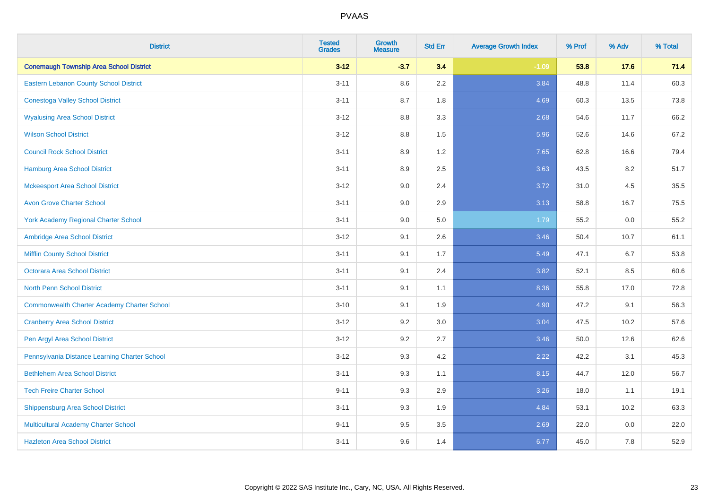| <b>District</b>                                    | <b>Tested</b><br><b>Grades</b> | <b>Growth</b><br><b>Measure</b> | <b>Std Err</b> | <b>Average Growth Index</b> | % Prof | % Adv   | % Total |
|----------------------------------------------------|--------------------------------|---------------------------------|----------------|-----------------------------|--------|---------|---------|
| <b>Conemaugh Township Area School District</b>     | $3 - 12$                       | $-3.7$                          | 3.4            | $-1.09$                     | 53.8   | 17.6    | 71.4    |
| <b>Eastern Lebanon County School District</b>      | $3 - 11$                       | 8.6                             | 2.2            | 3.84                        | 48.8   | 11.4    | 60.3    |
| <b>Conestoga Valley School District</b>            | $3 - 11$                       | 8.7                             | 1.8            | 4.69                        | 60.3   | 13.5    | 73.8    |
| <b>Wyalusing Area School District</b>              | $3 - 12$                       | 8.8                             | 3.3            | 2.68                        | 54.6   | 11.7    | 66.2    |
| <b>Wilson School District</b>                      | $3 - 12$                       | 8.8                             | 1.5            | 5.96                        | 52.6   | 14.6    | 67.2    |
| <b>Council Rock School District</b>                | $3 - 11$                       | 8.9                             | 1.2            | 7.65                        | 62.8   | 16.6    | 79.4    |
| <b>Hamburg Area School District</b>                | $3 - 11$                       | 8.9                             | 2.5            | 3.63                        | 43.5   | 8.2     | 51.7    |
| <b>Mckeesport Area School District</b>             | $3 - 12$                       | 9.0                             | 2.4            | 3.72                        | 31.0   | 4.5     | 35.5    |
| <b>Avon Grove Charter School</b>                   | $3 - 11$                       | 9.0                             | 2.9            | 3.13                        | 58.8   | 16.7    | 75.5    |
| <b>York Academy Regional Charter School</b>        | $3 - 11$                       | 9.0                             | 5.0            | 1.79                        | 55.2   | 0.0     | 55.2    |
| Ambridge Area School District                      | $3 - 12$                       | 9.1                             | 2.6            | 3.46                        | 50.4   | 10.7    | 61.1    |
| <b>Mifflin County School District</b>              | $3 - 11$                       | 9.1                             | 1.7            | 5.49                        | 47.1   | 6.7     | 53.8    |
| Octorara Area School District                      | $3 - 11$                       | 9.1                             | 2.4            | 3.82                        | 52.1   | 8.5     | 60.6    |
| <b>North Penn School District</b>                  | $3 - 11$                       | 9.1                             | 1.1            | 8.36                        | 55.8   | 17.0    | 72.8    |
| <b>Commonwealth Charter Academy Charter School</b> | $3 - 10$                       | 9.1                             | 1.9            | 4.90                        | 47.2   | 9.1     | 56.3    |
| <b>Cranberry Area School District</b>              | $3 - 12$                       | 9.2                             | 3.0            | 3.04                        | 47.5   | 10.2    | 57.6    |
| Pen Argyl Area School District                     | $3 - 12$                       | 9.2                             | 2.7            | 3.46                        | 50.0   | 12.6    | 62.6    |
| Pennsylvania Distance Learning Charter School      | $3 - 12$                       | 9.3                             | 4.2            | 2.22                        | 42.2   | 3.1     | 45.3    |
| <b>Bethlehem Area School District</b>              | $3 - 11$                       | 9.3                             | 1.1            | 8.15                        | 44.7   | 12.0    | 56.7    |
| <b>Tech Freire Charter School</b>                  | $9 - 11$                       | 9.3                             | 2.9            | 3.26                        | 18.0   | 1.1     | 19.1    |
| <b>Shippensburg Area School District</b>           | $3 - 11$                       | 9.3                             | 1.9            | 4.84                        | 53.1   | 10.2    | 63.3    |
| Multicultural Academy Charter School               | $9 - 11$                       | 9.5                             | 3.5            | 2.69                        | 22.0   | $0.0\,$ | 22.0    |
| <b>Hazleton Area School District</b>               | $3 - 11$                       | 9.6                             | 1.4            | 6.77                        | 45.0   | 7.8     | 52.9    |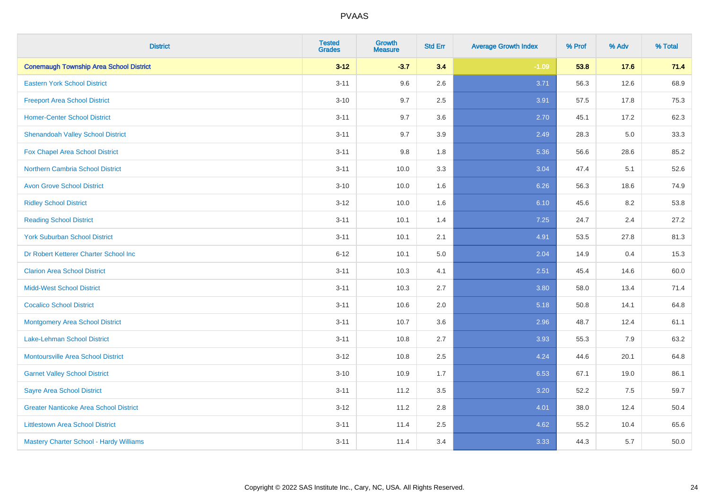| <b>District</b>                                | <b>Tested</b><br><b>Grades</b> | Growth<br><b>Measure</b> | <b>Std Err</b> | <b>Average Growth Index</b> | % Prof | % Adv | % Total |
|------------------------------------------------|--------------------------------|--------------------------|----------------|-----------------------------|--------|-------|---------|
| <b>Conemaugh Township Area School District</b> | $3 - 12$                       | $-3.7$                   | 3.4            | $-1.09$                     | 53.8   | 17.6  | 71.4    |
| <b>Eastern York School District</b>            | $3 - 11$                       | 9.6                      | 2.6            | 3.71                        | 56.3   | 12.6  | 68.9    |
| <b>Freeport Area School District</b>           | $3 - 10$                       | 9.7                      | 2.5            | 3.91                        | 57.5   | 17.8  | 75.3    |
| <b>Homer-Center School District</b>            | $3 - 11$                       | 9.7                      | 3.6            | 2.70                        | 45.1   | 17.2  | 62.3    |
| <b>Shenandoah Valley School District</b>       | $3 - 11$                       | 9.7                      | 3.9            | 2.49                        | 28.3   | 5.0   | 33.3    |
| Fox Chapel Area School District                | $3 - 11$                       | $9.8\,$                  | 1.8            | 5.36                        | 56.6   | 28.6  | 85.2    |
| <b>Northern Cambria School District</b>        | $3 - 11$                       | 10.0                     | 3.3            | 3.04                        | 47.4   | 5.1   | 52.6    |
| <b>Avon Grove School District</b>              | $3 - 10$                       | 10.0                     | 1.6            | 6.26                        | 56.3   | 18.6  | 74.9    |
| <b>Ridley School District</b>                  | $3 - 12$                       | 10.0                     | 1.6            | 6.10                        | 45.6   | 8.2   | 53.8    |
| <b>Reading School District</b>                 | $3 - 11$                       | 10.1                     | 1.4            | 7.25                        | 24.7   | 2.4   | 27.2    |
| <b>York Suburban School District</b>           | $3 - 11$                       | 10.1                     | 2.1            | 4.91                        | 53.5   | 27.8  | 81.3    |
| Dr Robert Ketterer Charter School Inc          | $6 - 12$                       | 10.1                     | 5.0            | 2.04                        | 14.9   | 0.4   | 15.3    |
| <b>Clarion Area School District</b>            | $3 - 11$                       | 10.3                     | 4.1            | 2.51                        | 45.4   | 14.6  | 60.0    |
| <b>Midd-West School District</b>               | $3 - 11$                       | 10.3                     | 2.7            | 3.80                        | 58.0   | 13.4  | 71.4    |
| <b>Cocalico School District</b>                | $3 - 11$                       | 10.6                     | 2.0            | 5.18                        | 50.8   | 14.1  | 64.8    |
| <b>Montgomery Area School District</b>         | $3 - 11$                       | 10.7                     | 3.6            | 2.96                        | 48.7   | 12.4  | 61.1    |
| <b>Lake-Lehman School District</b>             | $3 - 11$                       | 10.8                     | 2.7            | 3.93                        | 55.3   | 7.9   | 63.2    |
| <b>Montoursville Area School District</b>      | $3 - 12$                       | 10.8                     | 2.5            | 4.24                        | 44.6   | 20.1  | 64.8    |
| <b>Garnet Valley School District</b>           | $3 - 10$                       | 10.9                     | 1.7            | 6.53                        | 67.1   | 19.0  | 86.1    |
| <b>Sayre Area School District</b>              | $3 - 11$                       | 11.2                     | 3.5            | 3.20                        | 52.2   | 7.5   | 59.7    |
| <b>Greater Nanticoke Area School District</b>  | $3 - 12$                       | 11.2                     | 2.8            | 4.01                        | 38.0   | 12.4  | 50.4    |
| <b>Littlestown Area School District</b>        | $3 - 11$                       | 11.4                     | 2.5            | 4.62                        | 55.2   | 10.4  | 65.6    |
| Mastery Charter School - Hardy Williams        | $3 - 11$                       | 11.4                     | 3.4            | 3.33                        | 44.3   | 5.7   | 50.0    |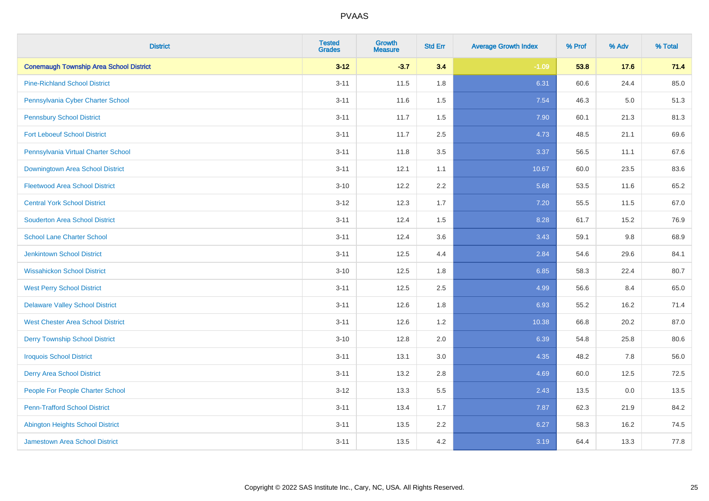| <b>District</b>                                | <b>Tested</b><br><b>Grades</b> | <b>Growth</b><br><b>Measure</b> | <b>Std Err</b> | <b>Average Growth Index</b> | % Prof | % Adv   | % Total |
|------------------------------------------------|--------------------------------|---------------------------------|----------------|-----------------------------|--------|---------|---------|
| <b>Conemaugh Township Area School District</b> | $3 - 12$                       | $-3.7$                          | 3.4            | $-1.09$                     | 53.8   | 17.6    | 71.4    |
| <b>Pine-Richland School District</b>           | $3 - 11$                       | 11.5                            | 1.8            | 6.31                        | 60.6   | 24.4    | 85.0    |
| Pennsylvania Cyber Charter School              | $3 - 11$                       | 11.6                            | 1.5            | 7.54                        | 46.3   | $5.0\,$ | 51.3    |
| <b>Pennsbury School District</b>               | $3 - 11$                       | 11.7                            | 1.5            | 7.90                        | 60.1   | 21.3    | 81.3    |
| <b>Fort Leboeuf School District</b>            | $3 - 11$                       | 11.7                            | 2.5            | 4.73                        | 48.5   | 21.1    | 69.6    |
| Pennsylvania Virtual Charter School            | $3 - 11$                       | 11.8                            | 3.5            | 3.37                        | 56.5   | 11.1    | 67.6    |
| Downingtown Area School District               | $3 - 11$                       | 12.1                            | 1.1            | 10.67                       | 60.0   | 23.5    | 83.6    |
| <b>Fleetwood Area School District</b>          | $3 - 10$                       | 12.2                            | 2.2            | 5.68                        | 53.5   | 11.6    | 65.2    |
| <b>Central York School District</b>            | $3 - 12$                       | 12.3                            | 1.7            | 7.20                        | 55.5   | 11.5    | 67.0    |
| <b>Souderton Area School District</b>          | $3 - 11$                       | 12.4                            | 1.5            | 8.28                        | 61.7   | 15.2    | 76.9    |
| <b>School Lane Charter School</b>              | $3 - 11$                       | 12.4                            | 3.6            | 3.43                        | 59.1   | 9.8     | 68.9    |
| Jenkintown School District                     | $3 - 11$                       | 12.5                            | 4.4            | 2.84                        | 54.6   | 29.6    | 84.1    |
| <b>Wissahickon School District</b>             | $3 - 10$                       | 12.5                            | 1.8            | 6.85                        | 58.3   | 22.4    | 80.7    |
| <b>West Perry School District</b>              | $3 - 11$                       | 12.5                            | 2.5            | 4.99                        | 56.6   | 8.4     | 65.0    |
| <b>Delaware Valley School District</b>         | $3 - 11$                       | 12.6                            | 1.8            | 6.93                        | 55.2   | 16.2    | 71.4    |
| <b>West Chester Area School District</b>       | $3 - 11$                       | 12.6                            | 1.2            | 10.38                       | 66.8   | 20.2    | 87.0    |
| <b>Derry Township School District</b>          | $3 - 10$                       | 12.8                            | 2.0            | 6.39                        | 54.8   | 25.8    | 80.6    |
| <b>Iroquois School District</b>                | $3 - 11$                       | 13.1                            | 3.0            | 4.35                        | 48.2   | 7.8     | 56.0    |
| <b>Derry Area School District</b>              | $3 - 11$                       | 13.2                            | 2.8            | 4.69                        | 60.0   | 12.5    | 72.5    |
| People For People Charter School               | $3-12$                         | 13.3                            | 5.5            | 2.43                        | 13.5   | 0.0     | 13.5    |
| <b>Penn-Trafford School District</b>           | $3 - 11$                       | 13.4                            | 1.7            | 7.87                        | 62.3   | 21.9    | 84.2    |
| <b>Abington Heights School District</b>        | $3 - 11$                       | 13.5                            | 2.2            | 6.27                        | 58.3   | 16.2    | 74.5    |
| <b>Jamestown Area School District</b>          | $3 - 11$                       | 13.5                            | 4.2            | 3.19                        | 64.4   | 13.3    | 77.8    |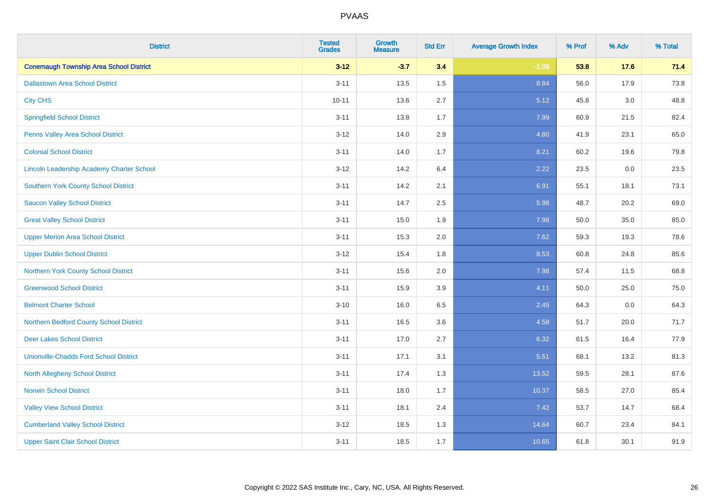| <b>District</b>                                | <b>Tested</b><br><b>Grades</b> | <b>Growth</b><br><b>Measure</b> | <b>Std Err</b> | <b>Average Growth Index</b> | % Prof | % Adv   | % Total |
|------------------------------------------------|--------------------------------|---------------------------------|----------------|-----------------------------|--------|---------|---------|
| <b>Conemaugh Township Area School District</b> | $3 - 12$                       | $-3.7$                          | 3.4            | $-1.09$                     | 53.8   | 17.6    | 71.4    |
| <b>Dallastown Area School District</b>         | $3 - 11$                       | 13.5                            | $1.5\,$        | 8.84                        | 56.0   | 17.9    | 73.8    |
| <b>City CHS</b>                                | $10 - 11$                      | 13.6                            | 2.7            | 5.12                        | 45.8   | 3.0     | 48.8    |
| <b>Springfield School District</b>             | $3 - 11$                       | 13.8                            | 1.7            | 7.99                        | 60.9   | 21.5    | 82.4    |
| Penns Valley Area School District              | $3 - 12$                       | 14.0                            | 2.9            | 4.80                        | 41.9   | 23.1    | 65.0    |
| <b>Colonial School District</b>                | $3 - 11$                       | 14.0                            | 1.7            | 8.21                        | 60.2   | 19.6    | 79.8    |
| Lincoln Leadership Academy Charter School      | $3 - 12$                       | 14.2                            | 6.4            | 2.22                        | 23.5   | $0.0\,$ | 23.5    |
| <b>Southern York County School District</b>    | $3 - 11$                       | 14.2                            | 2.1            | 6.91                        | 55.1   | 18.1    | 73.1    |
| <b>Saucon Valley School District</b>           | $3 - 11$                       | 14.7                            | 2.5            | 5.98                        | 48.7   | 20.2    | 69.0    |
| <b>Great Valley School District</b>            | $3 - 11$                       | 15.0                            | 1.9            | 7.98                        | 50.0   | 35.0    | 85.0    |
| <b>Upper Merion Area School District</b>       | $3 - 11$                       | 15.3                            | 2.0            | 7.62                        | 59.3   | 19.3    | 78.6    |
| <b>Upper Dublin School District</b>            | $3 - 12$                       | 15.4                            | 1.8            | 8.53                        | 60.8   | 24.8    | 85.6    |
| Northern York County School District           | $3 - 11$                       | 15.6                            | 2.0            | 7.98                        | 57.4   | 11.5    | 68.8    |
| <b>Greenwood School District</b>               | $3 - 11$                       | 15.9                            | 3.9            | 4.11                        | 50.0   | 25.0    | 75.0    |
| <b>Belmont Charter School</b>                  | $3 - 10$                       | 16.0                            | 6.5            | 2.45                        | 64.3   | 0.0     | 64.3    |
| Northern Bedford County School District        | $3 - 11$                       | 16.5                            | 3.6            | 4.58                        | 51.7   | 20.0    | 71.7    |
| <b>Deer Lakes School District</b>              | $3 - 11$                       | 17.0                            | 2.7            | 6.32                        | 61.5   | 16.4    | 77.9    |
| <b>Unionville-Chadds Ford School District</b>  | $3 - 11$                       | 17.1                            | 3.1            | 5.51                        | 68.1   | 13.2    | 81.3    |
| North Allegheny School District                | $3 - 11$                       | 17.4                            | 1.3            | 13.52                       | 59.5   | 28.1    | 87.6    |
| <b>Norwin School District</b>                  | $3 - 11$                       | 18.0                            | 1.7            | 10.37                       | 58.5   | 27.0    | 85.4    |
| <b>Valley View School District</b>             | $3 - 11$                       | 18.1                            | 2.4            | 7.42                        | 53.7   | 14.7    | 68.4    |
| <b>Cumberland Valley School District</b>       | $3 - 12$                       | 18.5                            | 1.3            | 14.64                       | 60.7   | 23.4    | 84.1    |
| <b>Upper Saint Clair School District</b>       | $3 - 11$                       | 18.5                            | 1.7            | 10.65                       | 61.8   | 30.1    | 91.9    |